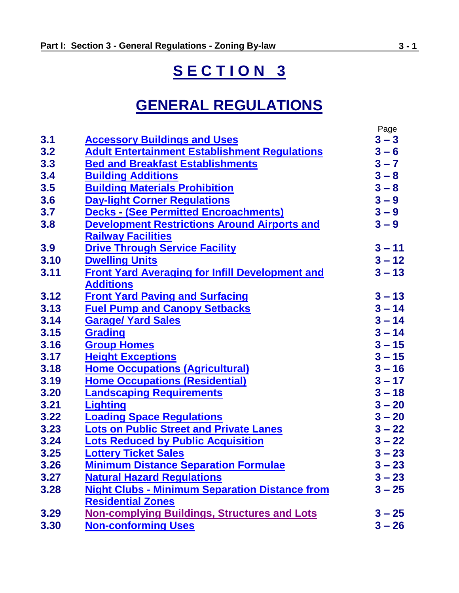# **S E C T I O N 3**

# **GENERAL REGULATIONS**

|      |                                                        | Page     |
|------|--------------------------------------------------------|----------|
| 3.1  | <b>Accessory Buildings and Uses</b>                    | $3 - 3$  |
| 3.2  | <b>Adult Entertainment Establishment Regulations</b>   | $3 - 6$  |
| 3.3  | <b>Bed and Breakfast Establishments</b>                | $3 - 7$  |
| 3.4  | <b>Building Additions</b>                              | $3 - 8$  |
| 3.5  | <b>Building Materials Prohibition</b>                  | $3 - 8$  |
| 3.6  | <b>Day-light Corner Regulations</b>                    | $3 - 9$  |
| 3.7  | <b>Decks - (See Permitted Encroachments)</b>           | $3 - 9$  |
| 3.8  | <b>Development Restrictions Around Airports and</b>    | $3 - 9$  |
|      | <b>Railway Facilities</b>                              |          |
| 3.9  | <b>Drive Through Service Facility</b>                  | $3 - 11$ |
| 3.10 | <b>Dwelling Units</b>                                  | $3 - 12$ |
| 3.11 | <b>Front Yard Averaging for Infill Development and</b> | $3 - 13$ |
|      | <b>Additions</b>                                       |          |
| 3.12 | <b>Front Yard Paving and Surfacing</b>                 | $3 - 13$ |
| 3.13 | <b>Fuel Pump and Canopy Setbacks</b>                   | $3 - 14$ |
| 3.14 | <b>Garage/ Yard Sales</b>                              | $3 - 14$ |
| 3.15 | Grading                                                | $3 - 14$ |
| 3.16 | <b>Group Homes</b>                                     | $3 - 15$ |
| 3.17 | <b>Height Exceptions</b>                               | $3 - 15$ |
| 3.18 | <b>Home Occupations (Agricultural)</b>                 | $3 - 16$ |
| 3.19 | <b>Home Occupations (Residential)</b>                  | $3 - 17$ |
| 3.20 | <b>Landscaping Requirements</b>                        | $3 - 18$ |
| 3.21 | <b>Lighting</b>                                        | $3 - 20$ |
| 3.22 | <b>Loading Space Regulations</b>                       | $3 - 20$ |
| 3.23 | <b>Lots on Public Street and Private Lanes</b>         | $3 - 22$ |
| 3.24 | <b>Lots Reduced by Public Acquisition</b>              | $3 - 22$ |
| 3.25 | <b>Lottery Ticket Sales</b>                            | $3 - 23$ |
| 3.26 | <b>Minimum Distance Separation Formulae</b>            | $3 - 23$ |
| 3.27 | <b>Natural Hazard Regulations</b>                      | $3 - 23$ |
| 3.28 | <b>Night Clubs - Minimum Separation Distance from</b>  | $3 - 25$ |
|      | <b>Residential Zones</b>                               |          |
| 3.29 | <b>Non-complying Buildings, Structures and Lots</b>    | $3 - 25$ |
| 3.30 | <b>Non-conforming Uses</b>                             | $3 - 26$ |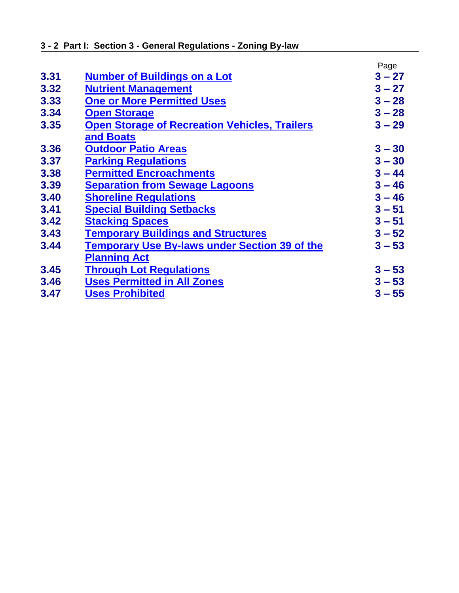|      |                                                      | Page     |
|------|------------------------------------------------------|----------|
| 3.31 | <b>Number of Buildings on a Lot</b>                  | $3 - 27$ |
| 3.32 | <b>Nutrient Management</b>                           | $3 - 27$ |
| 3.33 | <b>One or More Permitted Uses</b>                    | $3 - 28$ |
| 3.34 | <b>Open Storage</b>                                  | $3 - 28$ |
| 3.35 | <b>Open Storage of Recreation Vehicles, Trailers</b> | $3 - 29$ |
|      | and Boats                                            |          |
| 3.36 | <b>Outdoor Patio Areas</b>                           | $3 - 30$ |
| 3.37 | <b>Parking Regulations</b>                           | $3 - 30$ |
| 3.38 | <b>Permitted Encroachments</b>                       | $3 - 44$ |
| 3.39 | <b>Separation from Sewage Lagoons</b>                | $3 - 46$ |
| 3.40 | <b>Shoreline Regulations</b>                         | $3 - 46$ |
| 3.41 | <b>Special Building Setbacks</b>                     | $3 - 51$ |
| 3.42 | <b>Stacking Spaces</b>                               | $3 - 51$ |
| 3.43 | <b>Temporary Buildings and Structures</b>            | $3 - 52$ |
| 3.44 | <b>Temporary Use By-laws under Section 39 of the</b> | $3 - 53$ |
|      | <b>Planning Act</b>                                  |          |
| 3.45 | <b>Through Lot Regulations</b>                       | $3 - 53$ |
| 3.46 | <b>Uses Permitted in All Zones</b>                   | $3 - 53$ |
| 3.47 | <b>Uses Prohibited</b>                               | $3 - 55$ |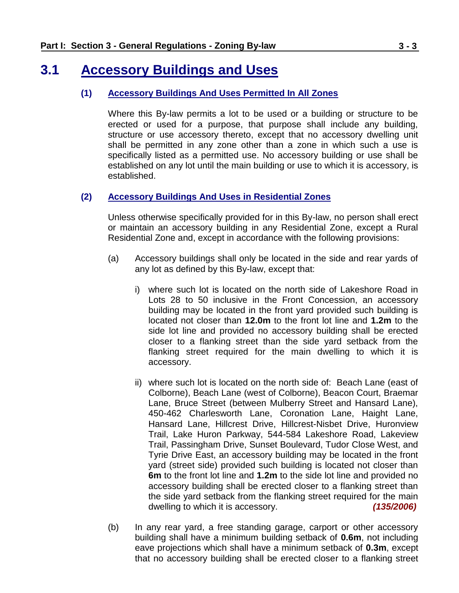### <span id="page-2-0"></span>**3.1 Accessory Buildings and Uses**

### **(1) Accessory Buildings And Uses Permitted In All Zones**

Where this By-law permits a lot to be used or a building or structure to be erected or used for a purpose, that purpose shall include any building, structure or use accessory thereto, except that no accessory dwelling unit shall be permitted in any zone other than a zone in which such a use is specifically listed as a permitted use. No accessory building or use shall be established on any lot until the main building or use to which it is accessory, is established.

### **(2) Accessory Buildings And Uses in Residential Zones**

Unless otherwise specifically provided for in this By-law, no person shall erect or maintain an accessory building in any Residential Zone, except a Rural Residential Zone and, except in accordance with the following provisions:

- (a) Accessory buildings shall only be located in the side and rear yards of any lot as defined by this By-law, except that:
	- i) where such lot is located on the north side of Lakeshore Road in Lots 28 to 50 inclusive in the Front Concession, an accessory building may be located in the front yard provided such building is located not closer than **12.0m** to the front lot line and **1.2m** to the side lot line and provided no accessory building shall be erected closer to a flanking street than the side yard setback from the flanking street required for the main dwelling to which it is accessory.
	- ii) where such lot is located on the north side of: Beach Lane (east of Colborne), Beach Lane (west of Colborne), Beacon Court, Braemar Lane, Bruce Street (between Mulberry Street and Hansard Lane), 450-462 Charlesworth Lane, Coronation Lane, Haight Lane, Hansard Lane, Hillcrest Drive, Hillcrest-Nisbet Drive, Huronview Trail, Lake Huron Parkway, 544-584 Lakeshore Road, Lakeview Trail, Passingham Drive, Sunset Boulevard, Tudor Close West, and Tyrie Drive East, an accessory building may be located in the front yard (street side) provided such building is located not closer than **6m** to the front lot line and **1.2m** to the side lot line and provided no accessory building shall be erected closer to a flanking street than the side yard setback from the flanking street required for the main dwelling to which it is accessory. *(135/2006)*
- (b) In any rear yard, a free standing garage, carport or other accessory building shall have a minimum building setback of **0.6m**, not including eave projections which shall have a minimum setback of **0.3m**, except that no accessory building shall be erected closer to a flanking street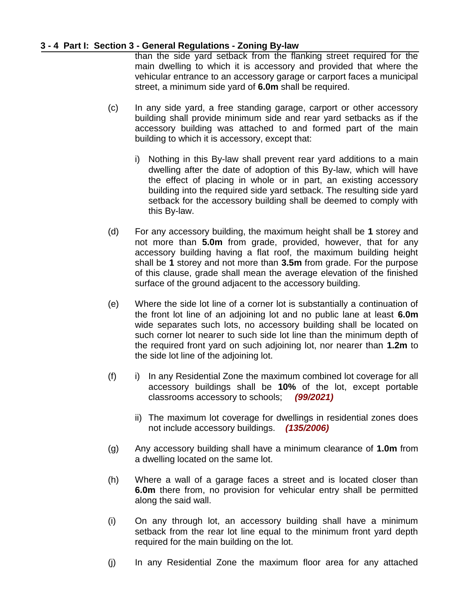### **3 - 4 Part I: Section 3 - General Regulations - Zoning By-law**

than the side yard setback from the flanking street required for the main dwelling to which it is accessory and provided that where the vehicular entrance to an accessory garage or carport faces a municipal street, a minimum side yard of **6.0m** shall be required.

- (c) In any side yard, a free standing garage, carport or other accessory building shall provide minimum side and rear yard setbacks as if the accessory building was attached to and formed part of the main building to which it is accessory, except that:
	- i) Nothing in this By-law shall prevent rear yard additions to a main dwelling after the date of adoption of this By-law, which will have the effect of placing in whole or in part, an existing accessory building into the required side yard setback. The resulting side yard setback for the accessory building shall be deemed to comply with this By-law.
- (d) For any accessory building, the maximum height shall be **1** storey and not more than **5.0m** from grade, provided, however, that for any accessory building having a flat roof, the maximum building height shall be **1** storey and not more than **3.5m** from grade. For the purpose of this clause, grade shall mean the average elevation of the finished surface of the ground adjacent to the accessory building.
- (e) Where the side lot line of a corner lot is substantially a continuation of the front lot line of an adjoining lot and no public lane at least **6.0m** wide separates such lots, no accessory building shall be located on such corner lot nearer to such side lot line than the minimum depth of the required front yard on such adjoining lot, nor nearer than **1.2m** to the side lot line of the adjoining lot.
- (f) i) In any Residential Zone the maximum combined lot coverage for all accessory buildings shall be **10%** of the lot, except portable classrooms accessory to schools; *(99/2021)*
	- ii) The maximum lot coverage for dwellings in residential zones does not include accessory buildings. *(135/2006)*
- (g) Any accessory building shall have a minimum clearance of **1.0m** from a dwelling located on the same lot.
- (h) Where a wall of a garage faces a street and is located closer than **6.0m** there from, no provision for vehicular entry shall be permitted along the said wall.
- (i) On any through lot, an accessory building shall have a minimum setback from the rear lot line equal to the minimum front yard depth required for the main building on the lot.
- (j) In any Residential Zone the maximum floor area for any attached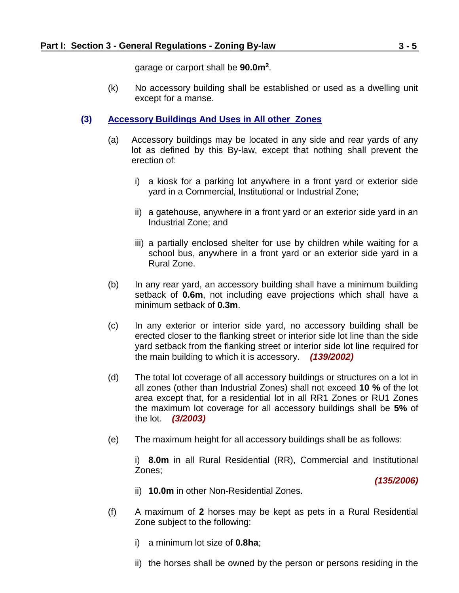garage or carport shall be **90.0m<sup>2</sup>** .

(k) No accessory building shall be established or used as a dwelling unit except for a manse.

### **(3) Accessory Buildings And Uses in All other Zones**

- (a) Accessory buildings may be located in any side and rear yards of any lot as defined by this By-law, except that nothing shall prevent the erection of:
	- i) a kiosk for a parking lot anywhere in a front yard or exterior side yard in a Commercial, Institutional or Industrial Zone;
	- ii) a gatehouse, anywhere in a front yard or an exterior side yard in an Industrial Zone; and
	- iii) a partially enclosed shelter for use by children while waiting for a school bus, anywhere in a front yard or an exterior side yard in a Rural Zone.
- (b) In any rear yard, an accessory building shall have a minimum building setback of **0.6m**, not including eave projections which shall have a minimum setback of **0.3m**.
- (c) In any exterior or interior side yard, no accessory building shall be erected closer to the flanking street or interior side lot line than the side yard setback from the flanking street or interior side lot line required for the main building to which it is accessory. *(139/2002)*
- (d) The total lot coverage of all accessory buildings or structures on a lot in all zones (other than Industrial Zones) shall not exceed **10 %** of the lot area except that, for a residential lot in all RR1 Zones or RU1 Zones the maximum lot coverage for all accessory buildings shall be **5%** of the lot. *(3/2003)*
- (e) The maximum height for all accessory buildings shall be as follows:

i) **8.0m** in all Rural Residential (RR), Commercial and Institutional Zones;

*(135/2006)*

- ii) **10.0m** in other Non-Residential Zones.
- (f) A maximum of **2** horses may be kept as pets in a Rural Residential Zone subject to the following:
	- i) a minimum lot size of **0.8ha**;
	- ii) the horses shall be owned by the person or persons residing in the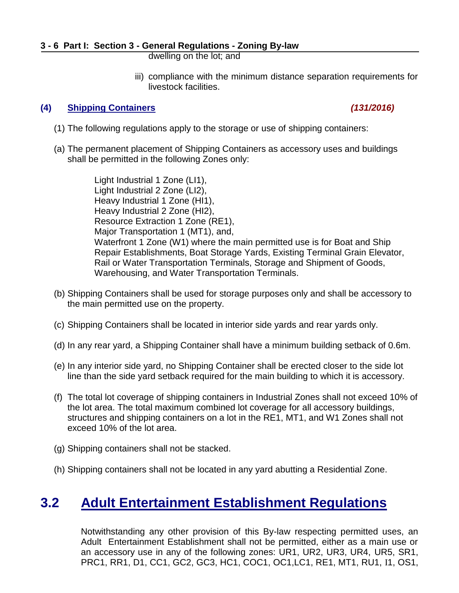dwelling on the lot; and

iii) compliance with the minimum distance separation requirements for livestock facilities.

### **(4) Shipping Containers** *(131/2016)*

- (1) The following regulations apply to the storage or use of shipping containers:
- (a) The permanent placement of Shipping Containers as accessory uses and buildings shall be permitted in the following Zones only:

Light Industrial 1 Zone (LI1), Light Industrial 2 Zone (LI2), Heavy Industrial 1 Zone (HI1), Heavy Industrial 2 Zone (HI2), Resource Extraction 1 Zone (RE1), Major Transportation 1 (MT1), and, Waterfront 1 Zone (W1) where the main permitted use is for Boat and Ship Repair Establishments, Boat Storage Yards, Existing Terminal Grain Elevator, Rail or Water Transportation Terminals, Storage and Shipment of Goods, Warehousing, and Water Transportation Terminals.

- (b) Shipping Containers shall be used for storage purposes only and shall be accessory to the main permitted use on the property.
- (c) Shipping Containers shall be located in interior side yards and rear yards only.
- (d) In any rear yard, a Shipping Container shall have a minimum building setback of 0.6m.
- (e) In any interior side yard, no Shipping Container shall be erected closer to the side lot line than the side yard setback required for the main building to which it is accessory.
- (f) The total lot coverage of shipping containers in Industrial Zones shall not exceed 10% of the lot area. The total maximum combined lot coverage for all accessory buildings, structures and shipping containers on a lot in the RE1, MT1, and W1 Zones shall not exceed 10% of the lot area.
- (g) Shipping containers shall not be stacked.
- (h) Shipping containers shall not be located in any yard abutting a Residential Zone.

### <span id="page-5-0"></span>**3.2 Adult Entertainment Establishment Regulations**

Notwithstanding any other provision of this By-law respecting permitted uses, an Adult Entertainment Establishment shall not be permitted, either as a main use or an accessory use in any of the following zones: UR1, UR2, UR3, UR4, UR5, SR1, PRC1, RR1, D1, CC1, GC2, GC3, HC1, COC1, OC1,LC1, RE1, MT1, RU1, I1, OS1,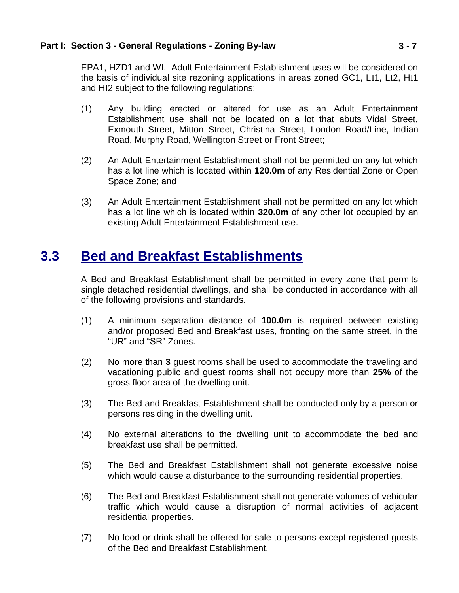EPA1, HZD1 and WI. Adult Entertainment Establishment uses will be considered on the basis of individual site rezoning applications in areas zoned GC1, LI1, LI2, HI1 and HI2 subject to the following regulations:

- (1) Any building erected or altered for use as an Adult Entertainment Establishment use shall not be located on a lot that abuts Vidal Street, Exmouth Street, Mitton Street, Christina Street, London Road/Line, Indian Road, Murphy Road, Wellington Street or Front Street;
- (2) An Adult Entertainment Establishment shall not be permitted on any lot which has a lot line which is located within **120.0m** of any Residential Zone or Open Space Zone; and
- (3) An Adult Entertainment Establishment shall not be permitted on any lot which has a lot line which is located within **320.0m** of any other lot occupied by an existing Adult Entertainment Establishment use.

# <span id="page-6-0"></span>**3.3 Bed and Breakfast Establishments**

A Bed and Breakfast Establishment shall be permitted in every zone that permits single detached residential dwellings, and shall be conducted in accordance with all of the following provisions and standards.

- (1) A minimum separation distance of **100.0m** is required between existing and/or proposed Bed and Breakfast uses, fronting on the same street, in the "UR" and "SR" Zones.
- (2) No more than **3** guest rooms shall be used to accommodate the traveling and vacationing public and guest rooms shall not occupy more than **25%** of the gross floor area of the dwelling unit.
- (3) The Bed and Breakfast Establishment shall be conducted only by a person or persons residing in the dwelling unit.
- (4) No external alterations to the dwelling unit to accommodate the bed and breakfast use shall be permitted.
- (5) The Bed and Breakfast Establishment shall not generate excessive noise which would cause a disturbance to the surrounding residential properties.
- (6) The Bed and Breakfast Establishment shall not generate volumes of vehicular traffic which would cause a disruption of normal activities of adjacent residential properties.
- (7) No food or drink shall be offered for sale to persons except registered guests of the Bed and Breakfast Establishment.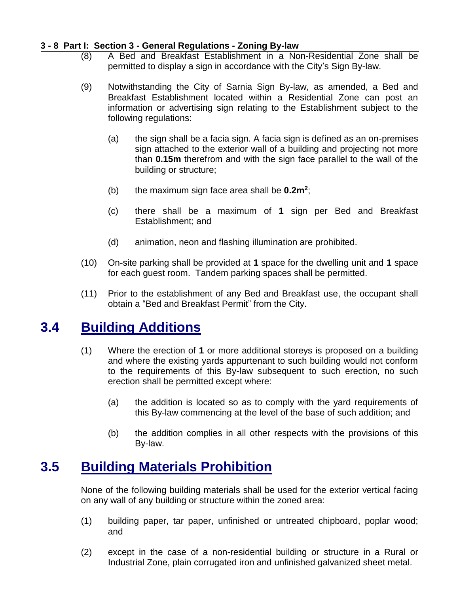#### **3 - 8 Part I: Section 3 - General Regulations - Zoning By-law**

- (8) A Bed and Breakfast Establishment in a Non-Residential Zone shall be permitted to display a sign in accordance with the City's Sign By-law.
- (9) Notwithstanding the City of Sarnia Sign By-law, as amended, a Bed and Breakfast Establishment located within a Residential Zone can post an information or advertising sign relating to the Establishment subject to the following regulations:
	- (a) the sign shall be a facia sign. A facia sign is defined as an on-premises sign attached to the exterior wall of a building and projecting not more than **0.15m** therefrom and with the sign face parallel to the wall of the building or structure;
	- (b) the maximum sign face area shall be **0.2m<sup>2</sup>** ;
	- (c) there shall be a maximum of **1** sign per Bed and Breakfast Establishment; and
	- (d) animation, neon and flashing illumination are prohibited.
- (10) On-site parking shall be provided at **1** space for the dwelling unit and **1** space for each guest room. Tandem parking spaces shall be permitted.
- (11) Prior to the establishment of any Bed and Breakfast use, the occupant shall obtain a "Bed and Breakfast Permit" from the City.

### <span id="page-7-0"></span>**3.4 Building Additions**

- (1) Where the erection of **1** or more additional storeys is proposed on a building and where the existing yards appurtenant to such building would not conform to the requirements of this By-law subsequent to such erection, no such erection shall be permitted except where:
	- (a) the addition is located so as to comply with the yard requirements of this By-law commencing at the level of the base of such addition; and
	- (b) the addition complies in all other respects with the provisions of this By-law.

# **3.5 Building Materials Prohibition**

<span id="page-7-1"></span>None of the following building materials shall be used for the exterior vertical facing on any wall of any building or structure within the zoned area:

- (1) building paper, tar paper, unfinished or untreated chipboard, poplar wood; and
- (2) except in the case of a non-residential building or structure in a Rural or Industrial Zone, plain corrugated iron and unfinished galvanized sheet metal.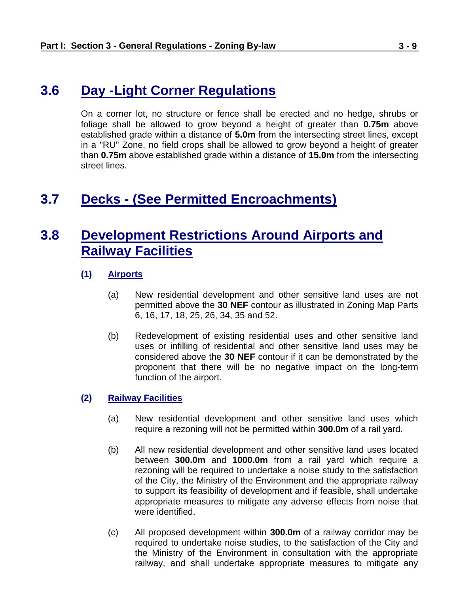### <span id="page-8-0"></span>**3.6 Day -Light Corner Regulations**

On a corner lot, no structure or fence shall be erected and no hedge, shrubs or foliage shall be allowed to grow beyond a height of greater than **0.75m** above established grade within a distance of **5.0m** from the intersecting street lines, except in a "RU" Zone, no field crops shall be allowed to grow beyond a height of greater than **0.75m** above established grade within a distance of **15.0m** from the intersecting street lines.

### <span id="page-8-1"></span>**3.7 Decks - (See [Permitted Encroachments\)](#page-43-0)**

# <span id="page-8-2"></span>**3.8 Development Restrictions Around Airports and Railway Facilities**

- **(1) Airports**
	- (a) New residential development and other sensitive land uses are not permitted above the **30 NEF** contour as illustrated in Zoning Map Parts 6, 16, 17, 18, 25, 26, 34, 35 and 52.
	- (b) Redevelopment of existing residential uses and other sensitive land uses or infilling of residential and other sensitive land uses may be considered above the **30 NEF** contour if it can be demonstrated by the proponent that there will be no negative impact on the long-term function of the airport.

#### **(2) Railway Facilities**

- (a) New residential development and other sensitive land uses which require a rezoning will not be permitted within **300.0m** of a rail yard.
- (b) All new residential development and other sensitive land uses located between **300.0m** and **1000.0m** from a rail yard which require a rezoning will be required to undertake a noise study to the satisfaction of the City, the Ministry of the Environment and the appropriate railway to support its feasibility of development and if feasible, shall undertake appropriate measures to mitigate any adverse effects from noise that were identified.
- (c) All proposed development within **300.0m** of a railway corridor may be required to undertake noise studies, to the satisfaction of the City and the Ministry of the Environment in consultation with the appropriate railway, and shall undertake appropriate measures to mitigate any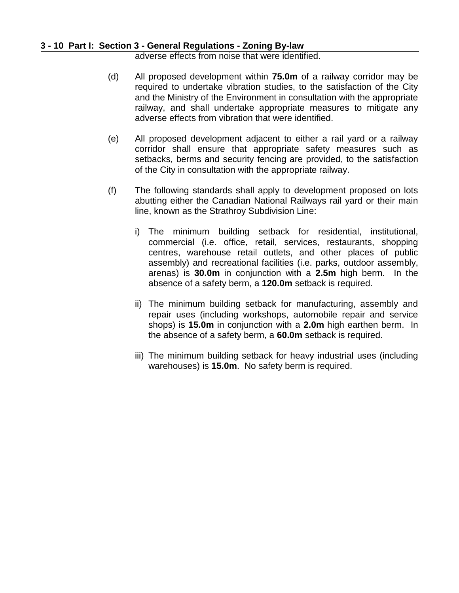#### **3 - 10 Part I: Section 3 - General Regulations - Zoning By-law**

adverse effects from noise that were identified.

- (d) All proposed development within **75.0m** of a railway corridor may be required to undertake vibration studies, to the satisfaction of the City and the Ministry of the Environment in consultation with the appropriate railway, and shall undertake appropriate measures to mitigate any adverse effects from vibration that were identified.
- (e) All proposed development adjacent to either a rail yard or a railway corridor shall ensure that appropriate safety measures such as setbacks, berms and security fencing are provided, to the satisfaction of the City in consultation with the appropriate railway.
- (f) The following standards shall apply to development proposed on lots abutting either the Canadian National Railways rail yard or their main line, known as the Strathroy Subdivision Line:
	- i) The minimum building setback for residential, institutional, commercial (i.e. office, retail, services, restaurants, shopping centres, warehouse retail outlets, and other places of public assembly) and recreational facilities (i.e. parks, outdoor assembly, arenas) is **30.0m** in conjunction with a **2.5m** high berm. In the absence of a safety berm, a **120.0m** setback is required.
	- ii) The minimum building setback for manufacturing, assembly and repair uses (including workshops, automobile repair and service shops) is **15.0m** in conjunction with a **2.0m** high earthen berm. In the absence of a safety berm, a **60.0m** setback is required.
	- iii) The minimum building setback for heavy industrial uses (including warehouses) is **15.0m**. No safety berm is required.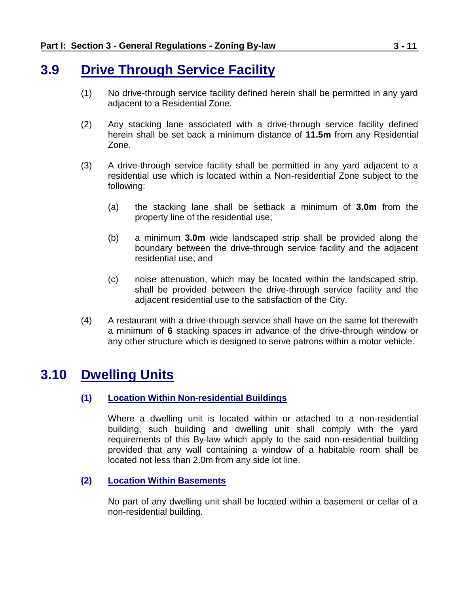### <span id="page-10-0"></span>**3.9 Drive Through Service Facility**

- (1) No drive-through service facility defined herein shall be permitted in any yard adjacent to a Residential Zone.
- (2) Any stacking lane associated with a drive-through service facility defined herein shall be set back a minimum distance of **11.5m** from any Residential Zone.
- (3) A drive-through service facility shall be permitted in any yard adjacent to a residential use which is located within a Non-residential Zone subject to the following:
	- (a) the stacking lane shall be setback a minimum of **3.0m** from the property line of the residential use;
	- (b) a minimum **3.0m** wide landscaped strip shall be provided along the boundary between the drive-through service facility and the adjacent residential use; and
	- (c) noise attenuation, which may be located within the landscaped strip, shall be provided between the drive-through service facility and the adjacent residential use to the satisfaction of the City.
- (4) A restaurant with a drive-through service shall have on the same lot therewith a minimum of **6** stacking spaces in advance of the drive-through window or any other structure which is designed to serve patrons within a motor vehicle.

# <span id="page-10-1"></span>**3.10 Dwelling Units**

### **(1) Location Within Non-residential Buildings**

Where a dwelling unit is located within or attached to a non-residential building, such building and dwelling unit shall comply with the yard requirements of this By-law which apply to the said non-residential building provided that any wall containing a window of a habitable room shall be located not less than 2.0m from any side lot line.

### **(2) Location Within Basements**

No part of any dwelling unit shall be located within a basement or cellar of a non-residential building.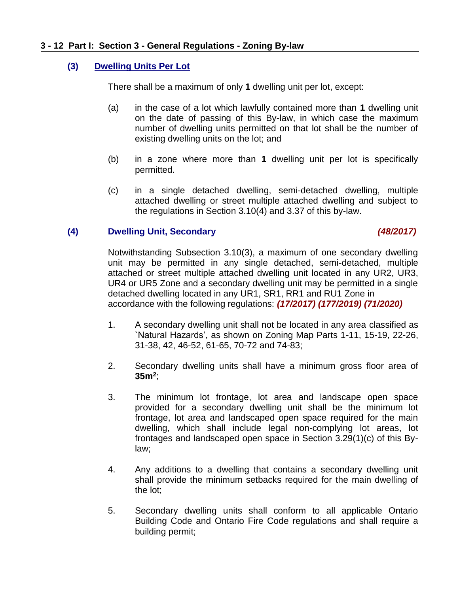### **(3) Dwelling Units Per Lot**

There shall be a maximum of only **1** dwelling unit per lot, except:

- (a) in the case of a lot which lawfully contained more than **1** dwelling unit on the date of passing of this By-law, in which case the maximum number of dwelling units permitted on that lot shall be the number of existing dwelling units on the lot; and
- (b) in a zone where more than **1** dwelling unit per lot is specifically permitted.
- (c) in a single detached dwelling, semi-detached dwelling, multiple attached dwelling or street multiple attached dwelling and subject to the regulations in Section 3.10(4) and 3.37 of this by-law.

### **(4) Dwelling Unit, Secondary** *(48/2017)*

Notwithstanding Subsection 3.10(3), a maximum of one secondary dwelling unit may be permitted in any single detached, semi-detached, multiple attached or street multiple attached dwelling unit located in any UR2, UR3, UR4 or UR5 Zone and a secondary dwelling unit may be permitted in a single detached dwelling located in any UR1, SR1, RR1 and RU1 Zone in accordance with the following regulations: *(17/2017) (177/2019) (71/2020)*

- 1. A secondary dwelling unit shall not be located in any area classified as `Natural Hazards', as shown on Zoning Map Parts 1-11, 15-19, 22-26, 31-38, 42, 46-52, 61-65, 70-72 and 74-83;
- 2. Secondary dwelling units shall have a minimum gross floor area of **35m<sup>2</sup>** ;
- 3. The minimum lot frontage, lot area and landscape open space provided for a secondary dwelling unit shall be the minimum lot frontage, lot area and landscaped open space required for the main dwelling, which shall include legal non-complying lot areas, lot frontages and landscaped open space in Section 3.29(1)(c) of this Bylaw;
- 4. Any additions to a dwelling that contains a secondary dwelling unit shall provide the minimum setbacks required for the main dwelling of the lot;
- 5. Secondary dwelling units shall conform to all applicable Ontario Building Code and Ontario Fire Code regulations and shall require a building permit;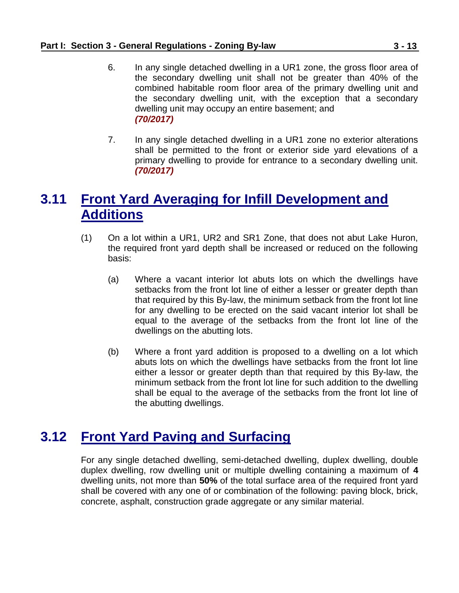- 6. In any single detached dwelling in a UR1 zone, the gross floor area of the secondary dwelling unit shall not be greater than 40% of the combined habitable room floor area of the primary dwelling unit and the secondary dwelling unit, with the exception that a secondary dwelling unit may occupy an entire basement; and *(70/2017)*
- 7. In any single detached dwelling in a UR1 zone no exterior alterations shall be permitted to the front or exterior side yard elevations of a primary dwelling to provide for entrance to a secondary dwelling unit. *(70/2017)*

# <span id="page-12-0"></span>**3.11 Front Yard Averaging for Infill Development and Additions**

- (1) On a lot within a UR1, UR2 and SR1 Zone, that does not abut Lake Huron, the required front yard depth shall be increased or reduced on the following basis:
	- (a) Where a vacant interior lot abuts lots on which the dwellings have setbacks from the front lot line of either a lesser or greater depth than that required by this By-law, the minimum setback from the front lot line for any dwelling to be erected on the said vacant interior lot shall be equal to the average of the setbacks from the front lot line of the dwellings on the abutting lots.
	- (b) Where a front yard addition is proposed to a dwelling on a lot which abuts lots on which the dwellings have setbacks from the front lot line either a lessor or greater depth than that required by this By-law, the minimum setback from the front lot line for such addition to the dwelling shall be equal to the average of the setbacks from the front lot line of the abutting dwellings.

# <span id="page-12-1"></span>**3.12 Front Yard Paving and Surfacing**

<span id="page-12-2"></span>For any single detached dwelling, semi-detached dwelling, duplex dwelling, double duplex dwelling, row dwelling unit or multiple dwelling containing a maximum of **4** dwelling units, not more than **50%** of the total surface area of the required front yard shall be covered with any one of or combination of the following: paving block, brick, concrete, asphalt, construction grade aggregate or any similar material.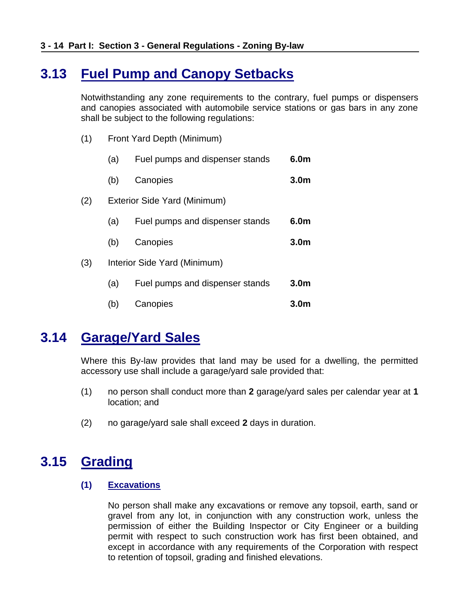# **3.13 Fuel Pump and Canopy Setbacks**

Notwithstanding any zone requirements to the contrary, fuel pumps or dispensers and canopies associated with automobile service stations or gas bars in any zone shall be subject to the following regulations:

- (1) Front Yard Depth (Minimum)
	- (a) Fuel pumps and dispenser stands **6.0m**
	- (b) Canopies **3.0m**
- (2) Exterior Side Yard (Minimum)
	- (a) Fuel pumps and dispenser stands **6.0m**
	- (b) Canopies **3.0m**
- (3) Interior Side Yard (Minimum)
	- (a) Fuel pumps and dispenser stands **3.0m** (b) Canopies **3.0m**
- 

### <span id="page-13-0"></span>**3.14 Garage/Yard Sales**

Where this By-law provides that land may be used for a dwelling, the permitted accessory use shall include a garage/yard sale provided that:

- (1) no person shall conduct more than **2** garage/yard sales per calendar year at **1** location; and
- (2) no garage/yard sale shall exceed **2** days in duration.

### <span id="page-13-1"></span>**3.15 Grading**

#### **(1) Excavations**

No person shall make any excavations or remove any topsoil, earth, sand or gravel from any lot, in conjunction with any construction work, unless the permission of either the Building Inspector or City Engineer or a building permit with respect to such construction work has first been obtained, and except in accordance with any requirements of the Corporation with respect to retention of topsoil, grading and finished elevations.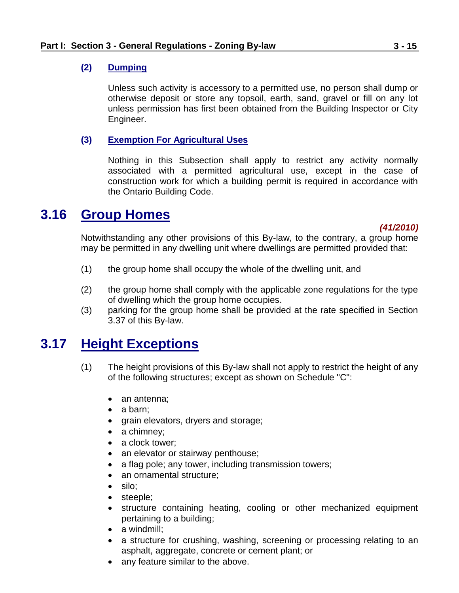### **(2) Dumping**

Unless such activity is accessory to a permitted use, no person shall dump or otherwise deposit or store any topsoil, earth, sand, gravel or fill on any lot unless permission has first been obtained from the Building Inspector or City Engineer.

### **(3) Exemption For Agricultural Uses**

Nothing in this Subsection shall apply to restrict any activity normally associated with a permitted agricultural use, except in the case of construction work for which a building permit is required in accordance with the Ontario Building Code.

### <span id="page-14-0"></span>**3.16 Group Homes**

#### *(41/2010)*

Notwithstanding any other provisions of this By-law, to the contrary, a group home may be permitted in any dwelling unit where dwellings are permitted provided that:

- (1) the group home shall occupy the whole of the dwelling unit, and
- (2) the group home shall comply with the applicable zone regulations for the type of dwelling which the group home occupies.
- (3) parking for the group home shall be provided at the rate specified in Section 3.37 of this By-law.

### <span id="page-14-1"></span>**3.17 Height Exceptions**

- (1) The height provisions of this By-law shall not apply to restrict the height of any of the following structures; except as shown on Schedule "C":
	- an antenna;
	- $\bullet$  a barn:
	- grain elevators, dryers and storage;
	- a chimney;
	- a clock tower:
	- an elevator or stairway penthouse;
	- a flag pole; any tower, including transmission towers;
	- an ornamental structure:
	- silo:
	- steeple;
	- structure containing heating, cooling or other mechanized equipment pertaining to a building;
	- a windmill:
	- a structure for crushing, washing, screening or processing relating to an asphalt, aggregate, concrete or cement plant; or
	- any feature similar to the above.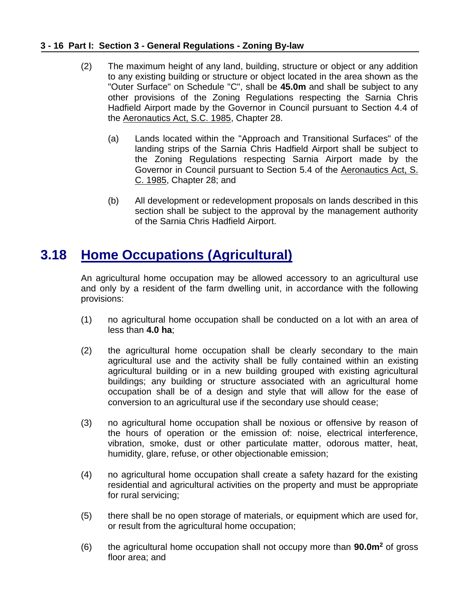### **3 - 16 Part I: Section 3 - General Regulations - Zoning By-law**

- (2) The maximum height of any land, building, structure or object or any addition to any existing building or structure or object located in the area shown as the "Outer Surface" on Schedule "C", shall be **45.0m** and shall be subject to any other provisions of the Zoning Regulations respecting the Sarnia Chris Hadfield Airport made by the Governor in Council pursuant to Section 4.4 of the Aeronautics Act, S.C. 1985, Chapter 28.
	- (a) Lands located within the "Approach and Transitional Surfaces" of the landing strips of the Sarnia Chris Hadfield Airport shall be subject to the Zoning Regulations respecting Sarnia Airport made by the Governor in Council pursuant to Section 5.4 of the Aeronautics Act, S. C. 1985, Chapter 28; and
	- (b) All development or redevelopment proposals on lands described in this section shall be subject to the approval by the management authority of the Sarnia Chris Hadfield Airport.

# <span id="page-15-0"></span>**3.18 Home Occupations (Agricultural)**

An agricultural home occupation may be allowed accessory to an agricultural use and only by a resident of the farm dwelling unit, in accordance with the following provisions:

- (1) no agricultural home occupation shall be conducted on a lot with an area of less than **4.0 ha**;
- (2) the agricultural home occupation shall be clearly secondary to the main agricultural use and the activity shall be fully contained within an existing agricultural building or in a new building grouped with existing agricultural buildings; any building or structure associated with an agricultural home occupation shall be of a design and style that will allow for the ease of conversion to an agricultural use if the secondary use should cease;
- (3) no agricultural home occupation shall be noxious or offensive by reason of the hours of operation or the emission of: noise, electrical interference, vibration, smoke, dust or other particulate matter, odorous matter, heat, humidity, glare, refuse, or other objectionable emission;
- (4) no agricultural home occupation shall create a safety hazard for the existing residential and agricultural activities on the property and must be appropriate for rural servicing;
- (5) there shall be no open storage of materials, or equipment which are used for, or result from the agricultural home occupation;
- (6) the agricultural home occupation shall not occupy more than **90.0m<sup>2</sup>** of gross floor area; and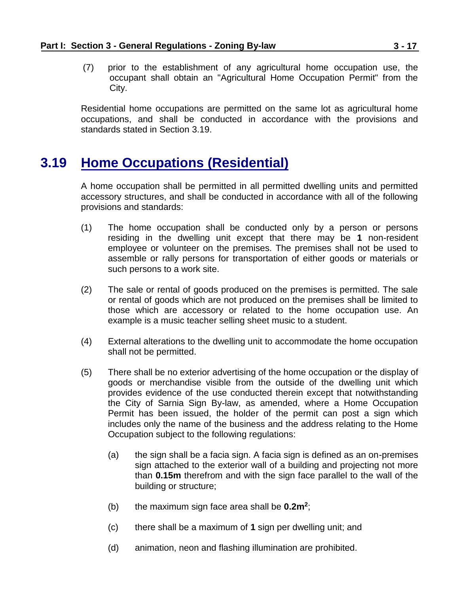(7) prior to the establishment of any agricultural home occupation use, the occupant shall obtain an "Agricultural Home Occupation Permit" from the City.

Residential home occupations are permitted on the same lot as agricultural home occupations, and shall be conducted in accordance with the provisions and standards stated in Section 3.19.

# <span id="page-16-0"></span>**3.19 Home Occupations (Residential)**

A home occupation shall be permitted in all permitted dwelling units and permitted accessory structures, and shall be conducted in accordance with all of the following provisions and standards:

- (1) The home occupation shall be conducted only by a person or persons residing in the dwelling unit except that there may be **1** non-resident employee or volunteer on the premises. The premises shall not be used to assemble or rally persons for transportation of either goods or materials or such persons to a work site.
- (2) The sale or rental of goods produced on the premises is permitted. The sale or rental of goods which are not produced on the premises shall be limited to those which are accessory or related to the home occupation use. An example is a music teacher selling sheet music to a student.
- (4) External alterations to the dwelling unit to accommodate the home occupation shall not be permitted.
- (5) There shall be no exterior advertising of the home occupation or the display of goods or merchandise visible from the outside of the dwelling unit which provides evidence of the use conducted therein except that notwithstanding the City of Sarnia Sign By-law, as amended, where a Home Occupation Permit has been issued, the holder of the permit can post a sign which includes only the name of the business and the address relating to the Home Occupation subject to the following regulations:
	- (a) the sign shall be a facia sign. A facia sign is defined as an on-premises sign attached to the exterior wall of a building and projecting not more than **0.15m** therefrom and with the sign face parallel to the wall of the building or structure;
	- (b) the maximum sign face area shall be **0.2m<sup>2</sup>** ;
	- (c) there shall be a maximum of **1** sign per dwelling unit; and
	- (d) animation, neon and flashing illumination are prohibited.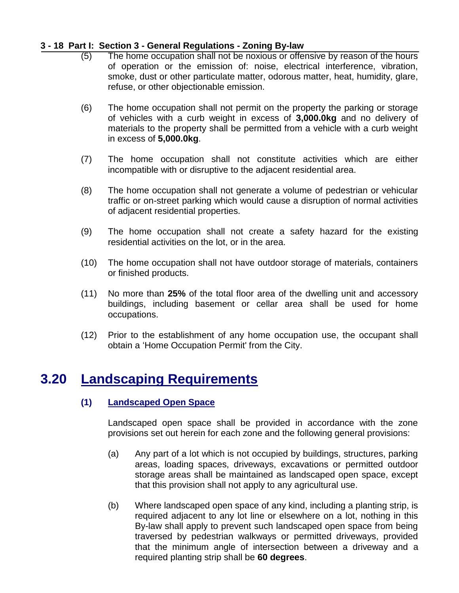### **3 - 18 Part I: Section 3 - General Regulations - Zoning By-law**

- (5) The home occupation shall not be noxious or offensive by reason of the hours of operation or the emission of: noise, electrical interference, vibration, smoke, dust or other particulate matter, odorous matter, heat, humidity, glare, refuse, or other objectionable emission.
- (6) The home occupation shall not permit on the property the parking or storage of vehicles with a curb weight in excess of **3,000.0kg** and no delivery of materials to the property shall be permitted from a vehicle with a curb weight in excess of **5,000.0kg**.
- (7) The home occupation shall not constitute activities which are either incompatible with or disruptive to the adjacent residential area.
- (8) The home occupation shall not generate a volume of pedestrian or vehicular traffic or on-street parking which would cause a disruption of normal activities of adjacent residential properties.
- (9) The home occupation shall not create a safety hazard for the existing residential activities on the lot, or in the area.
- (10) The home occupation shall not have outdoor storage of materials, containers or finished products.
- (11) No more than **25%** of the total floor area of the dwelling unit and accessory buildings, including basement or cellar area shall be used for home occupations.
- (12) Prior to the establishment of any home occupation use, the occupant shall obtain a 'Home Occupation Permit' from the City.

### <span id="page-17-0"></span>**3.20 Landscaping Requirements**

### **(1) Landscaped Open Space**

Landscaped open space shall be provided in accordance with the zone provisions set out herein for each zone and the following general provisions:

- (a) Any part of a lot which is not occupied by buildings, structures, parking areas, loading spaces, driveways, excavations or permitted outdoor storage areas shall be maintained as landscaped open space, except that this provision shall not apply to any agricultural use.
- (b) Where landscaped open space of any kind, including a planting strip, is required adjacent to any lot line or elsewhere on a lot, nothing in this By-law shall apply to prevent such landscaped open space from being traversed by pedestrian walkways or permitted driveways, provided that the minimum angle of intersection between a driveway and a required planting strip shall be **60 degrees**.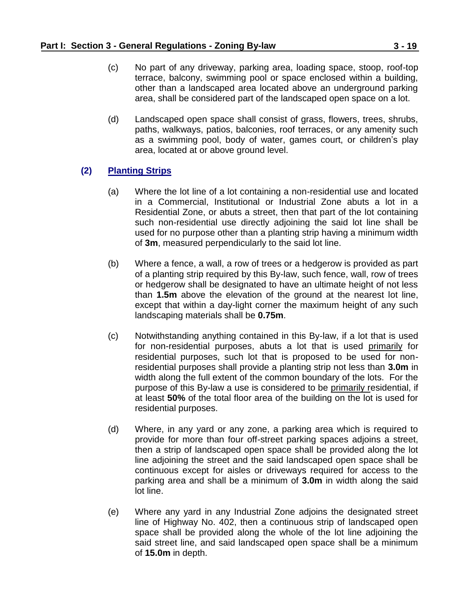- (c) No part of any driveway, parking area, loading space, stoop, roof-top terrace, balcony, swimming pool or space enclosed within a building, other than a landscaped area located above an underground parking area, shall be considered part of the landscaped open space on a lot.
- (d) Landscaped open space shall consist of grass, flowers, trees, shrubs, paths, walkways, patios, balconies, roof terraces, or any amenity such as a swimming pool, body of water, games court, or children's play area, located at or above ground level.

### **(2) Planting Strips**

- (a) Where the lot line of a lot containing a non-residential use and located in a Commercial, Institutional or Industrial Zone abuts a lot in a Residential Zone, or abuts a street, then that part of the lot containing such non-residential use directly adjoining the said lot line shall be used for no purpose other than a planting strip having a minimum width of **3m**, measured perpendicularly to the said lot line.
- (b) Where a fence, a wall, a row of trees or a hedgerow is provided as part of a planting strip required by this By-law, such fence, wall, row of trees or hedgerow shall be designated to have an ultimate height of not less than **1.5m** above the elevation of the ground at the nearest lot line, except that within a day-light corner the maximum height of any such landscaping materials shall be **0.75m**.
- (c) Notwithstanding anything contained in this By-law, if a lot that is used for non-residential purposes, abuts a lot that is used primarily for residential purposes, such lot that is proposed to be used for nonresidential purposes shall provide a planting strip not less than **3.0m** in width along the full extent of the common boundary of the lots. For the purpose of this By-law a use is considered to be primarily residential, if at least **50%** of the total floor area of the building on the lot is used for residential purposes.
- (d) Where, in any yard or any zone, a parking area which is required to provide for more than four off-street parking spaces adjoins a street, then a strip of landscaped open space shall be provided along the lot line adjoining the street and the said landscaped open space shall be continuous except for aisles or driveways required for access to the parking area and shall be a minimum of **3.0m** in width along the said lot line.
- (e) Where any yard in any Industrial Zone adjoins the designated street line of Highway No. 402, then a continuous strip of landscaped open space shall be provided along the whole of the lot line adjoining the said street line, and said landscaped open space shall be a minimum of **15.0m** in depth.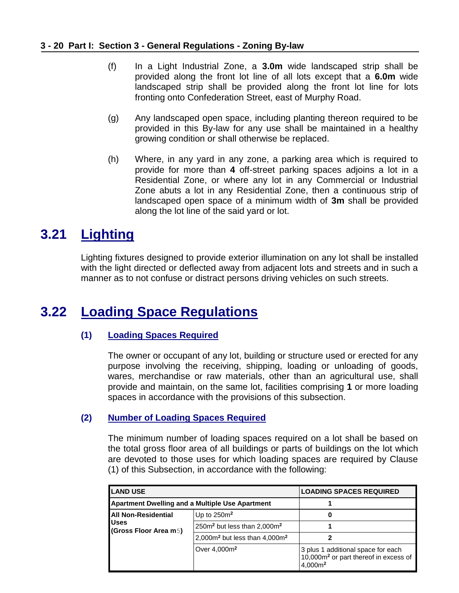#### **3 - 20 Part I: Section 3 - General Regulations - Zoning By-law**

- (f) In a Light Industrial Zone, a **3.0m** wide landscaped strip shall be provided along the front lot line of all lots except that a **6.0m** wide landscaped strip shall be provided along the front lot line for lots fronting onto Confederation Street, east of Murphy Road.
- (g) Any landscaped open space, including planting thereon required to be provided in this By-law for any use shall be maintained in a healthy growing condition or shall otherwise be replaced.
- (h) Where, in any yard in any zone, a parking area which is required to provide for more than **4** off-street parking spaces adjoins a lot in a Residential Zone, or where any lot in any Commercial or Industrial Zone abuts a lot in any Residential Zone, then a continuous strip of landscaped open space of a minimum width of **3m** shall be provided along the lot line of the said yard or lot.

# <span id="page-19-0"></span>**3.21 Lighting**

Lighting fixtures designed to provide exterior illumination on any lot shall be installed with the light directed or deflected away from adjacent lots and streets and in such a manner as to not confuse or distract persons driving vehicles on such streets.

# <span id="page-19-1"></span>**3.22 Loading Space Regulations**

### **(1) Loading Spaces Required**

The owner or occupant of any lot, building or structure used or erected for any purpose involving the receiving, shipping, loading or unloading of goods, wares, merchandise or raw materials, other than an agricultural use, shall provide and maintain, on the same lot, facilities comprising **1** or more loading spaces in accordance with the provisions of this subsection.

### **(2) Number of Loading Spaces Required**

The minimum number of loading spaces required on a lot shall be based on the total gross floor area of all buildings or parts of buildings on the lot which are devoted to those uses for which loading spaces are required by Clause (1) of this Subsection, in accordance with the following:

| <b>LAND USE</b>                                        |                                                     | <b>LOADING SPACES REQUIRED</b>                                                                                 |  |
|--------------------------------------------------------|-----------------------------------------------------|----------------------------------------------------------------------------------------------------------------|--|
| <b>Apartment Dwelling and a Multiple Use Apartment</b> |                                                     |                                                                                                                |  |
| All Non-Residential                                    | Up to $250m^2$                                      | 0                                                                                                              |  |
| <b>Uses</b><br>(Gross Floor Area m5)                   | 250m <sup>2</sup> but less than 2,000m <sup>2</sup> |                                                                                                                |  |
|                                                        | 2,000 $m2$ but less than 4,000 $m2$                 |                                                                                                                |  |
|                                                        | Over 4,000m <sup>2</sup>                            | 3 plus 1 additional space for each<br>10,000m <sup>2</sup> or part thereof in excess of<br>4.000m <sup>2</sup> |  |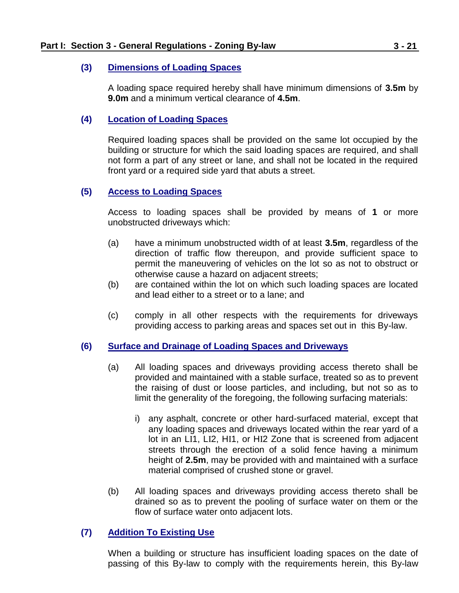#### **(3) Dimensions of Loading Spaces**

A loading space required hereby shall have minimum dimensions of **3.5m** by **9.0m** and a minimum vertical clearance of **4.5m**.

### **(4) Location of Loading Spaces**

Required loading spaces shall be provided on the same lot occupied by the building or structure for which the said loading spaces are required, and shall not form a part of any street or lane, and shall not be located in the required front yard or a required side yard that abuts a street.

### **(5) Access to Loading Spaces**

Access to loading spaces shall be provided by means of **1** or more unobstructed driveways which:

- (a) have a minimum unobstructed width of at least **3.5m**, regardless of the direction of traffic flow thereupon, and provide sufficient space to permit the maneuvering of vehicles on the lot so as not to obstruct or otherwise cause a hazard on adjacent streets;
- (b) are contained within the lot on which such loading spaces are located and lead either to a street or to a lane; and
- (c) comply in all other respects with the requirements for driveways providing access to parking areas and spaces set out in this By-law.

#### **(6) Surface and Drainage of Loading Spaces and Driveways**

- (a) All loading spaces and driveways providing access thereto shall be provided and maintained with a stable surface, treated so as to prevent the raising of dust or loose particles, and including, but not so as to limit the generality of the foregoing, the following surfacing materials:
	- i) any asphalt, concrete or other hard-surfaced material, except that any loading spaces and driveways located within the rear yard of a lot in an LI1, LI2, HI1, or HI2 Zone that is screened from adjacent streets through the erection of a solid fence having a minimum height of **2.5m**, may be provided with and maintained with a surface material comprised of crushed stone or gravel.
- (b) All loading spaces and driveways providing access thereto shall be drained so as to prevent the pooling of surface water on them or the flow of surface water onto adjacent lots.

### **(7) Addition To Existing Use**

When a building or structure has insufficient loading spaces on the date of passing of this By-law to comply with the requirements herein, this By-law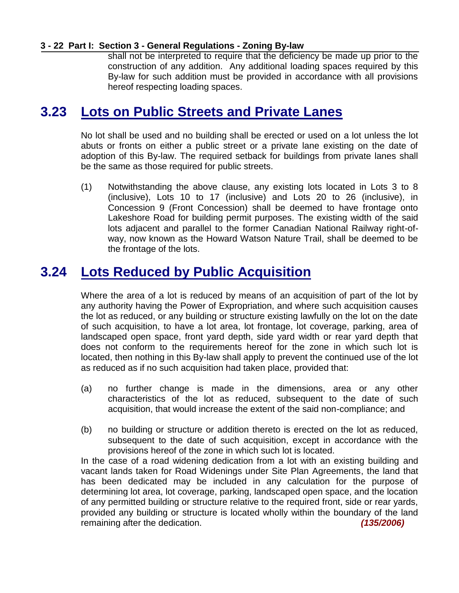#### **3 - 22 Part I: Section 3 - General Regulations - Zoning By-law**

shall not be interpreted to require that the deficiency be made up prior to the construction of any addition. Any additional loading spaces required by this By-law for such addition must be provided in accordance with all provisions hereof respecting loading spaces.

### <span id="page-21-0"></span>**3.23 Lots on Public Streets and Private Lanes**

No lot shall be used and no building shall be erected or used on a lot unless the lot abuts or fronts on either a public street or a private lane existing on the date of adoption of this By-law. The required setback for buildings from private lanes shall be the same as those required for public streets.

(1) Notwithstanding the above clause, any existing lots located in Lots 3 to 8 (inclusive), Lots 10 to 17 (inclusive) and Lots 20 to 26 (inclusive), in Concession 9 (Front Concession) shall be deemed to have frontage onto Lakeshore Road for building permit purposes. The existing width of the said lots adjacent and parallel to the former Canadian National Railway right-ofway, now known as the Howard Watson Nature Trail, shall be deemed to be the frontage of the lots.

# <span id="page-21-1"></span>**3.24 Lots Reduced by Public Acquisition**

Where the area of a lot is reduced by means of an acquisition of part of the lot by any authority having the Power of Expropriation, and where such acquisition causes the lot as reduced, or any building or structure existing lawfully on the lot on the date of such acquisition, to have a lot area, lot frontage, lot coverage, parking, area of landscaped open space, front yard depth, side yard width or rear yard depth that does not conform to the requirements hereof for the zone in which such lot is located, then nothing in this By-law shall apply to prevent the continued use of the lot as reduced as if no such acquisition had taken place, provided that:

- (a) no further change is made in the dimensions, area or any other characteristics of the lot as reduced, subsequent to the date of such acquisition, that would increase the extent of the said non-compliance; and
- (b) no building or structure or addition thereto is erected on the lot as reduced, subsequent to the date of such acquisition, except in accordance with the provisions hereof of the zone in which such lot is located.

<span id="page-21-2"></span>In the case of a road widening dedication from a lot with an existing building and vacant lands taken for Road Widenings under Site Plan Agreements, the land that has been dedicated may be included in any calculation for the purpose of determining lot area, lot coverage, parking, landscaped open space, and the location of any permitted building or structure relative to the required front, side or rear yards, provided any building or structure is located wholly within the boundary of the land remaining after the dedication. *(135/2006)*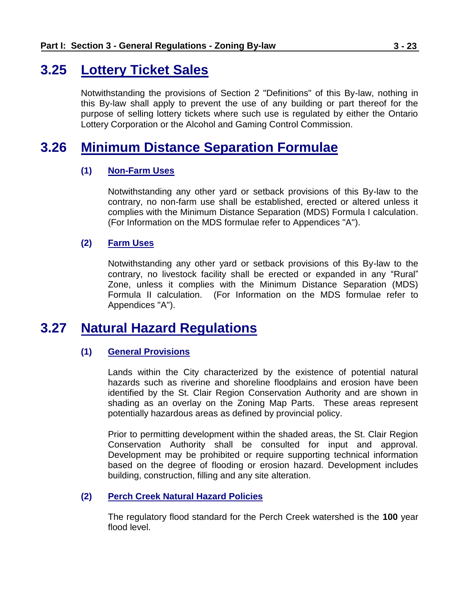### **3.25 Lottery Ticket Sales**

Notwithstanding the provisions of Section 2 "Definitions" of this By-law, nothing in this By-law shall apply to prevent the use of any building or part thereof for the purpose of selling lottery tickets where such use is regulated by either the Ontario Lottery Corporation or the Alcohol and Gaming Control Commission.

### **3.26 Minimum Distance Separation Formulae**

### <span id="page-22-0"></span>**(1) Non-Farm Uses**

Notwithstanding any other yard or setback provisions of this By-law to the contrary, no non-farm use shall be established, erected or altered unless it complies with the Minimum Distance Separation (MDS) Formula I calculation. (For Information on the MDS formulae refer to Appendices "A").

### **(2) Farm Uses**

Notwithstanding any other yard or setback provisions of this By-law to the contrary, no livestock facility shall be erected or expanded in any "Rural" Zone, unless it complies with the Minimum Distance Separation (MDS) Formula II calculation. (For Information on the MDS formulae refer to Appendices "A").

### <span id="page-22-1"></span>**3.27 Natural Hazard Regulations**

### **(1) General Provisions**

Lands within the City characterized by the existence of potential natural hazards such as riverine and shoreline floodplains and erosion have been identified by the St. Clair Region Conservation Authority and are shown in shading as an overlay on the Zoning Map Parts. These areas represent potentially hazardous areas as defined by provincial policy.

Prior to permitting development within the shaded areas, the St. Clair Region Conservation Authority shall be consulted for input and approval. Development may be prohibited or require supporting technical information based on the degree of flooding or erosion hazard. Development includes building, construction, filling and any site alteration.

#### **(2) Perch Creek Natural Hazard Policies**

The regulatory flood standard for the Perch Creek watershed is the **100** year flood level.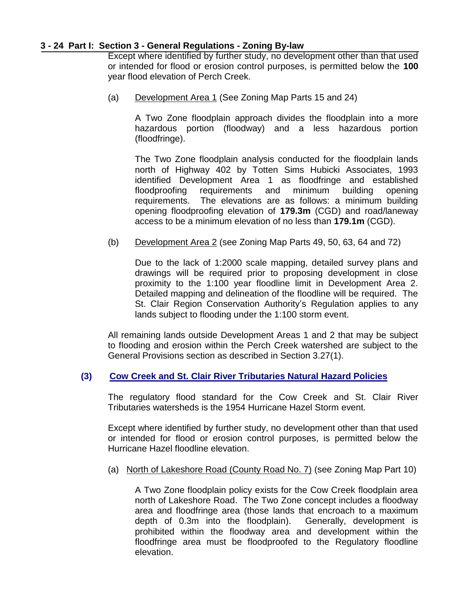#### **3 - 24 Part I: Section 3 - General Regulations - Zoning By-law**

Except where identified by further study, no development other than that used or intended for flood or erosion control purposes, is permitted below the **100** year flood elevation of Perch Creek.

(a) Development Area 1 (See Zoning Map Parts 15 and 24)

A Two Zone floodplain approach divides the floodplain into a more hazardous portion (floodway) and a less hazardous portion (floodfringe).

The Two Zone floodplain analysis conducted for the floodplain lands north of Highway 402 by Totten Sims Hubicki Associates, 1993 identified Development Area 1 as floodfringe and established floodproofing requirements and minimum building opening requirements. The elevations are as follows: a minimum building opening floodproofing elevation of **179.3m** (CGD) and road/laneway access to be a minimum elevation of no less than **179.1m** (CGD).

(b) Development Area 2 (see Zoning Map Parts 49, 50, 63, 64 and 72)

Due to the lack of 1:2000 scale mapping, detailed survey plans and drawings will be required prior to proposing development in close proximity to the 1:100 year floodline limit in Development Area 2. Detailed mapping and delineation of the floodline will be required. The St. Clair Region Conservation Authority's Regulation applies to any lands subject to flooding under the 1:100 storm event.

All remaining lands outside Development Areas 1 and 2 that may be subject to flooding and erosion within the Perch Creek watershed are subject to the General Provisions section as described in Section 3.27(1).

#### **(3) Cow Creek and St. Clair River Tributaries Natural Hazard Policies**

The regulatory flood standard for the Cow Creek and St. Clair River Tributaries watersheds is the 1954 Hurricane Hazel Storm event.

Except where identified by further study, no development other than that used or intended for flood or erosion control purposes, is permitted below the Hurricane Hazel floodline elevation.

(a) North of Lakeshore Road (County Road No. 7) (see Zoning Map Part 10)

A Two Zone floodplain policy exists for the Cow Creek floodplain area north of Lakeshore Road. The Two Zone concept includes a floodway area and floodfringe area (those lands that encroach to a maximum depth of 0.3m into the floodplain). Generally, development is prohibited within the floodway area and development within the floodfringe area must be floodproofed to the Regulatory floodline elevation.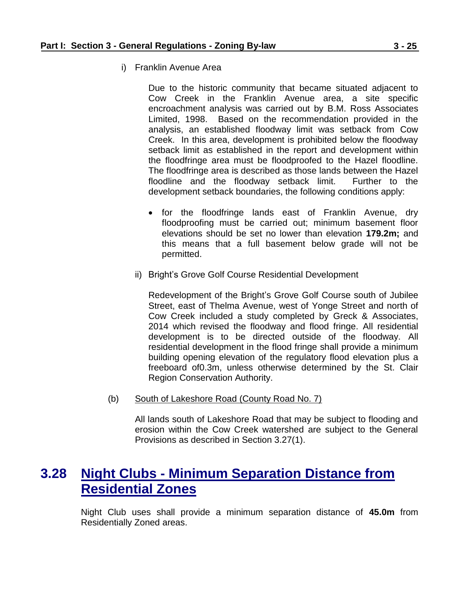i) Franklin Avenue Area

Due to the historic community that became situated adjacent to Cow Creek in the Franklin Avenue area, a site specific encroachment analysis was carried out by B.M. Ross Associates Limited, 1998. Based on the recommendation provided in the analysis, an established floodway limit was setback from Cow Creek. In this area, development is prohibited below the floodway setback limit as established in the report and development within the floodfringe area must be floodproofed to the Hazel floodline. The floodfringe area is described as those lands between the Hazel floodline and the floodway setback limit. Further to the development setback boundaries, the following conditions apply:

- for the floodfringe lands east of Franklin Avenue, dry floodproofing must be carried out; minimum basement floor elevations should be set no lower than elevation **179.2m;** and this means that a full basement below grade will not be permitted.
- ii) Bright's Grove Golf Course Residential Development

Redevelopment of the Bright's Grove Golf Course south of Jubilee Street, east of Thelma Avenue, west of Yonge Street and north of Cow Creek included a study completed by Greck & Associates, 2014 which revised the floodway and flood fringe. All residential development is to be directed outside of the floodway. All residential development in the flood fringe shall provide a minimum building opening elevation of the regulatory flood elevation plus a freeboard of0.3m, unless otherwise determined by the St. Clair Region Conservation Authority.

(b) South of Lakeshore Road (County Road No. 7)

All lands south of Lakeshore Road that may be subject to flooding and erosion within the Cow Creek watershed are subject to the General Provisions as described in Section 3.27(1).

### <span id="page-24-0"></span>**3.28 Night Clubs - Minimum Separation Distance from Residential Zones**

Night Club uses shall provide a minimum separation distance of **45.0m** from Residentially Zoned areas.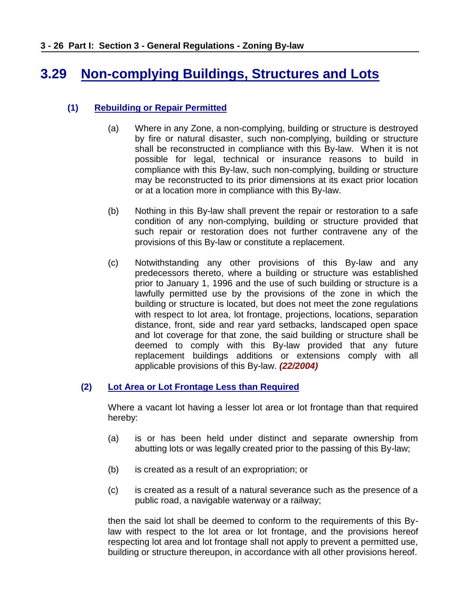# <span id="page-25-0"></span>**3.29 Non-complying Buildings, Structures and Lots**

### **(1) Rebuilding or Repair Permitted**

- (a) Where in any Zone, a non-complying, building or structure is destroyed by fire or natural disaster, such non-complying, building or structure shall be reconstructed in compliance with this By-law. When it is not possible for legal, technical or insurance reasons to build in compliance with this By-law, such non-complying, building or structure may be reconstructed to its prior dimensions at its exact prior location or at a location more in compliance with this By-law.
- (b) Nothing in this By-law shall prevent the repair or restoration to a safe condition of any non-complying, building or structure provided that such repair or restoration does not further contravene any of the provisions of this By-law or constitute a replacement.
- (c) Notwithstanding any other provisions of this By-law and any predecessors thereto, where a building or structure was established prior to January 1, 1996 and the use of such building or structure is a lawfully permitted use by the provisions of the zone in which the building or structure is located, but does not meet the zone regulations with respect to lot area, lot frontage, projections, locations, separation distance, front, side and rear yard setbacks, landscaped open space and lot coverage for that zone, the said building or structure shall be deemed to comply with this By-law provided that any future replacement buildings additions or extensions comply with all applicable provisions of this By-law. *(22/2004)*

### **(2) Lot Area or Lot Frontage Less than Required**

Where a vacant lot having a lesser lot area or lot frontage than that required hereby:

- (a) is or has been held under distinct and separate ownership from abutting lots or was legally created prior to the passing of this By-law;
- (b) is created as a result of an expropriation; or
- (c) is created as a result of a natural severance such as the presence of a public road, a navigable waterway or a railway;

then the said lot shall be deemed to conform to the requirements of this Bylaw with respect to the lot area or lot frontage, and the provisions hereof respecting lot area and lot frontage shall not apply to prevent a permitted use, building or structure thereupon, in accordance with all other provisions hereof.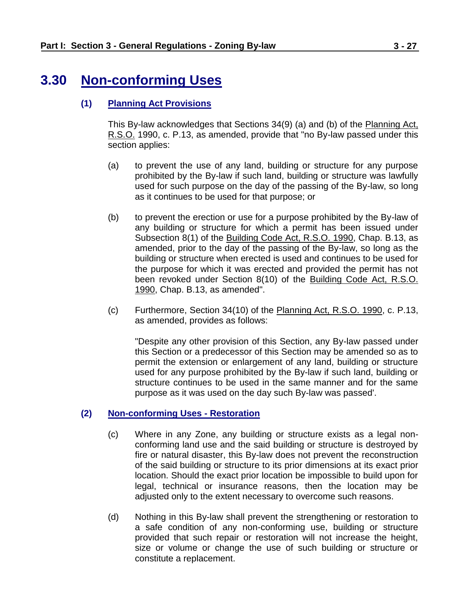# <span id="page-26-0"></span>**3.30 Non-conforming Uses**

### **(1) Planning Act Provisions**

This By-law acknowledges that Sections 34(9) (a) and (b) of the Planning Act, R.S.O. 1990, c. P.13, as amended, provide that "no By-law passed under this section applies:

- (a) to prevent the use of any land, building or structure for any purpose prohibited by the By-law if such land, building or structure was lawfully used for such purpose on the day of the passing of the By-law, so long as it continues to be used for that purpose; or
- (b) to prevent the erection or use for a purpose prohibited by the By-law of any building or structure for which a permit has been issued under Subsection 8(1) of the Building Code Act, R.S.O. 1990, Chap. B.13, as amended, prior to the day of the passing of the By-law, so long as the building or structure when erected is used and continues to be used for the purpose for which it was erected and provided the permit has not been revoked under Section 8(10) of the Building Code Act, R.S.O. 1990, Chap. B.13, as amended".
- (c) Furthermore, Section 34(10) of the Planning Act, R.S.O. 1990, c. P.13, as amended, provides as follows:

"Despite any other provision of this Section, any By-law passed under this Section or a predecessor of this Section may be amended so as to permit the extension or enlargement of any land, building or structure used for any purpose prohibited by the By-law if such land, building or structure continues to be used in the same manner and for the same purpose as it was used on the day such By-law was passed'.

### **(2) Non-conforming Uses - Restoration**

- (c) Where in any Zone, any building or structure exists as a legal nonconforming land use and the said building or structure is destroyed by fire or natural disaster, this By-law does not prevent the reconstruction of the said building or structure to its prior dimensions at its exact prior location. Should the exact prior location be impossible to build upon for legal, technical or insurance reasons, then the location may be adjusted only to the extent necessary to overcome such reasons.
- (d) Nothing in this By-law shall prevent the strengthening or restoration to a safe condition of any non-conforming use, building or structure provided that such repair or restoration will not increase the height, size or volume or change the use of such building or structure or constitute a replacement.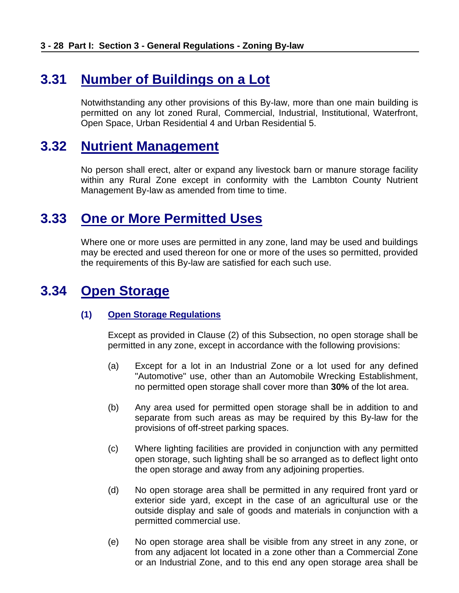# <span id="page-27-0"></span>**3.31 Number of Buildings on a Lot**

Notwithstanding any other provisions of this By-law, more than one main building is permitted on any lot zoned Rural, Commercial, Industrial, Institutional, Waterfront, Open Space, Urban Residential 4 and Urban Residential 5.

### <span id="page-27-1"></span>**3.32 Nutrient Management**

No person shall erect, alter or expand any livestock barn or manure storage facility within any Rural Zone except in conformity with the Lambton County Nutrient Management By-law as amended from time to time.

### <span id="page-27-2"></span>**3.33 One or More Permitted Uses**

Where one or more uses are permitted in any zone, land may be used and buildings may be erected and used thereon for one or more of the uses so permitted, provided the requirements of this By-law are satisfied for each such use.

# <span id="page-27-3"></span>**3.34 Open Storage**

### **(1) Open Storage Regulations**

Except as provided in Clause (2) of this Subsection, no open storage shall be permitted in any zone, except in accordance with the following provisions:

- (a) Except for a lot in an Industrial Zone or a lot used for any defined "Automotive" use, other than an Automobile Wrecking Establishment, no permitted open storage shall cover more than **30%** of the lot area.
- (b) Any area used for permitted open storage shall be in addition to and separate from such areas as may be required by this By-law for the provisions of off-street parking spaces.
- (c) Where lighting facilities are provided in conjunction with any permitted open storage, such lighting shall be so arranged as to deflect light onto the open storage and away from any adjoining properties.
- (d) No open storage area shall be permitted in any required front yard or exterior side yard, except in the case of an agricultural use or the outside display and sale of goods and materials in conjunction with a permitted commercial use.
- (e) No open storage area shall be visible from any street in any zone, or from any adjacent lot located in a zone other than a Commercial Zone or an Industrial Zone, and to this end any open storage area shall be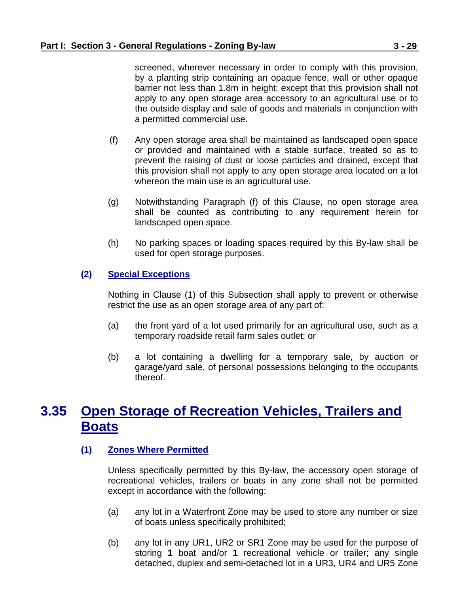barrier not less than 1.8m in height; except that this provision shall not apply to any open storage area accessory to an agricultural use or to the outside display and sale of goods and materials in conjunction with a permitted commercial use.

- (f) Any open storage area shall be maintained as landscaped open space or provided and maintained with a stable surface, treated so as to prevent the raising of dust or loose particles and drained, except that this provision shall not apply to any open storage area located on a lot whereon the main use is an agricultural use.
- (g) Notwithstanding Paragraph (f) of this Clause, no open storage area shall be counted as contributing to any requirement herein for landscaped open space.
- (h) No parking spaces or loading spaces required by this By-law shall be used for open storage purposes.

### **(2) Special Exceptions**

Nothing in Clause (1) of this Subsection shall apply to prevent or otherwise restrict the use as an open storage area of any part of:

- (a) the front yard of a lot used primarily for an agricultural use, such as a temporary roadside retail farm sales outlet; or
- (b) a lot containing a dwelling for a temporary sale, by auction or garage/yard sale, of personal possessions belonging to the occupants thereof.

# <span id="page-28-0"></span>**3.35 Open Storage of Recreation Vehicles, Trailers and Boats**

### **(1) Zones Where Permitted**

Unless specifically permitted by this By-law, the accessory open storage of recreational vehicles, trailers or boats in any zone shall not be permitted except in accordance with the following:

- (a) any lot in a Waterfront Zone may be used to store any number or size of boats unless specifically prohibited;
- (b) any lot in any UR1, UR2 or SR1 Zone may be used for the purpose of storing **1** boat and/or **1** recreational vehicle or trailer; any single detached, duplex and semi-detached lot in a UR3, UR4 and UR5 Zone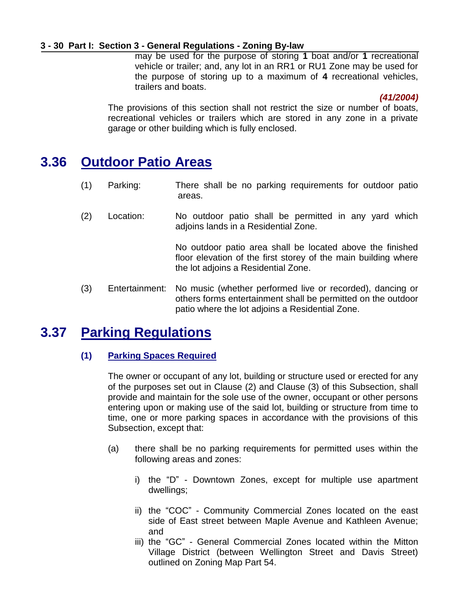#### **3 - 30 Part I: Section 3 - General Regulations - Zoning By-law**

may be used for the purpose of storing **1** boat and/or **1** recreational vehicle or trailer; and, any lot in an RR1 or RU1 Zone may be used for the purpose of storing up to a maximum of **4** recreational vehicles, trailers and boats.

#### *(41/2004)*

The provisions of this section shall not restrict the size or number of boats, recreational vehicles or trailers which are stored in any zone in a private garage or other building which is fully enclosed.

### <span id="page-29-0"></span>**3.36 Outdoor Patio Areas**

- (1) Parking: There shall be no parking requirements for outdoor patio areas.
- (2) Location: No outdoor patio shall be permitted in any yard which adjoins lands in a Residential Zone.

No outdoor patio area shall be located above the finished floor elevation of the first storey of the main building where the lot adjoins a Residential Zone.

(3) Entertainment: No music (whether performed live or recorded), dancing or others forms entertainment shall be permitted on the outdoor patio where the lot adjoins a Residential Zone.

### <span id="page-29-1"></span>**3.37 Parking Regulations**

### **(1) Parking Spaces Required**

The owner or occupant of any lot, building or structure used or erected for any of the purposes set out in Clause (2) and Clause (3) of this Subsection, shall provide and maintain for the sole use of the owner, occupant or other persons entering upon or making use of the said lot, building or structure from time to time, one or more parking spaces in accordance with the provisions of this Subsection, except that:

- (a) there shall be no parking requirements for permitted uses within the following areas and zones:
	- i) the "D" Downtown Zones, except for multiple use apartment dwellings;
	- ii) the "COC" Community Commercial Zones located on the east side of East street between Maple Avenue and Kathleen Avenue; and
	- iii) the "GC" General Commercial Zones located within the Mitton Village District (between Wellington Street and Davis Street) outlined on Zoning Map Part 54.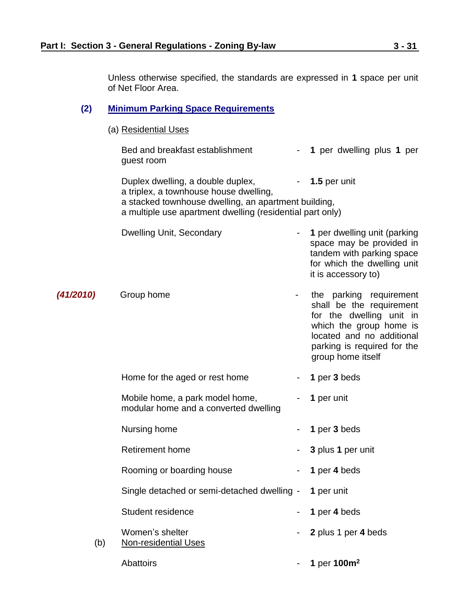Unless otherwise specified, the standards are expressed in **1** space per unit of Net Floor Area.

### **(2) Minimum Parking Space Requirements**

(a) Residential Uses

|           |     | Bed and breakfast establishment<br>guest room                                                                                                                                                    |                  | - 1 per dwelling plus 1 per                                                                                                                                                                 |
|-----------|-----|--------------------------------------------------------------------------------------------------------------------------------------------------------------------------------------------------|------------------|---------------------------------------------------------------------------------------------------------------------------------------------------------------------------------------------|
|           |     | Duplex dwelling, a double duplex,<br>a triplex, a townhouse house dwelling,<br>a stacked townhouse dwelling, an apartment building,<br>a multiple use apartment dwelling (residential part only) |                  | 1.5 per unit                                                                                                                                                                                |
|           |     | <b>Dwelling Unit, Secondary</b>                                                                                                                                                                  |                  | 1 per dwelling unit (parking<br>space may be provided in<br>tandem with parking space<br>for which the dwelling unit<br>it is accessory to)                                                 |
| (41/2010) |     | Group home                                                                                                                                                                                       | $\sim$ 100 $\pm$ | the parking requirement<br>shall be the requirement<br>for the dwelling unit in<br>which the group home is<br>located and no additional<br>parking is required for the<br>group home itself |
|           |     | Home for the aged or rest home                                                                                                                                                                   |                  | 1 per 3 beds                                                                                                                                                                                |
|           |     | Mobile home, a park model home,<br>modular home and a converted dwelling                                                                                                                         |                  | 1 per unit                                                                                                                                                                                  |
|           |     | Nursing home                                                                                                                                                                                     |                  | 1 per 3 beds                                                                                                                                                                                |
|           |     | <b>Retirement home</b>                                                                                                                                                                           |                  | 3 plus 1 per unit                                                                                                                                                                           |
|           |     | Rooming or boarding house                                                                                                                                                                        |                  | 1 per 4 beds                                                                                                                                                                                |
|           |     | Single detached or semi-detached dwelling -                                                                                                                                                      |                  | 1 per unit                                                                                                                                                                                  |
|           |     | Student residence                                                                                                                                                                                |                  | 1 per 4 beds                                                                                                                                                                                |
|           | (b) | Women's shelter<br><b>Non-residential Uses</b>                                                                                                                                                   |                  | 2 plus 1 per 4 beds                                                                                                                                                                         |
|           |     | Abattoirs                                                                                                                                                                                        |                  | 1 per 100m <sup>2</sup>                                                                                                                                                                     |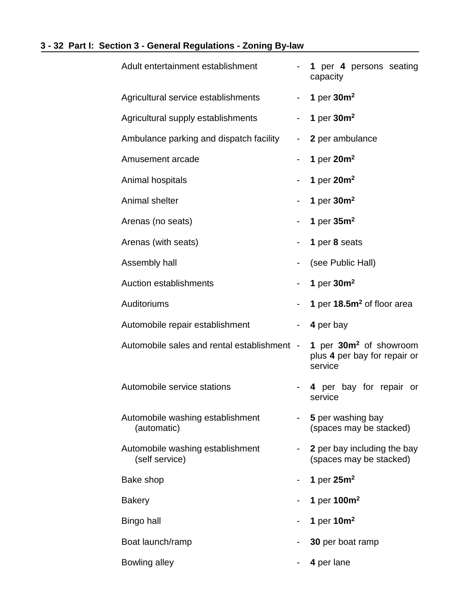### **3 - 32 Part I: Section 3 - General Regulations - Zoning By-law**

| Adult entertainment establishment                  |               | 1 per 4 persons seating<br>capacity                                           |  |
|----------------------------------------------------|---------------|-------------------------------------------------------------------------------|--|
| Agricultural service establishments                | $\sim$        | 1 per $30m^2$                                                                 |  |
| Agricultural supply establishments                 | 1 per $30m^2$ |                                                                               |  |
| Ambulance parking and dispatch facility            | $\sim$ $-$    | 2 per ambulance                                                               |  |
| Amusement arcade                                   |               | 1 per $20m^2$                                                                 |  |
| Animal hospitals                                   | -             | 1 per $20m^2$                                                                 |  |
| Animal shelter                                     |               | 1 per $30m^2$                                                                 |  |
| Arenas (no seats)                                  |               | 1 per $35m2$                                                                  |  |
| Arenas (with seats)                                | -             | 1 per 8 seats                                                                 |  |
| Assembly hall                                      |               | (see Public Hall)                                                             |  |
| <b>Auction establishments</b>                      |               | 1 per 30m <sup>2</sup>                                                        |  |
| Auditoriums                                        | -             | 1 per 18.5m <sup>2</sup> of floor area                                        |  |
| Automobile repair establishment                    | -             | 4 per bay                                                                     |  |
| Automobile sales and rental establishment -        |               | 1 per 30m <sup>2</sup> of showroom<br>plus 4 per bay for repair or<br>service |  |
| Automobile service stations                        |               | 4 per bay for repair or<br>service                                            |  |
| Automobile washing establishment<br>(automatic)    |               | 5 per washing bay<br>(spaces may be stacked)                                  |  |
| Automobile washing establishment<br>(self service) |               | 2 per bay including the bay<br>(spaces may be stacked)                        |  |
| Bake shop                                          |               | 1 per $25m^2$                                                                 |  |
| <b>Bakery</b>                                      |               | 1 per 100m <sup>2</sup>                                                       |  |
| Bingo hall                                         |               | 1 per $10m^2$                                                                 |  |
| Boat launch/ramp                                   |               | 30 per boat ramp                                                              |  |
| <b>Bowling alley</b>                               |               | 4 per lane                                                                    |  |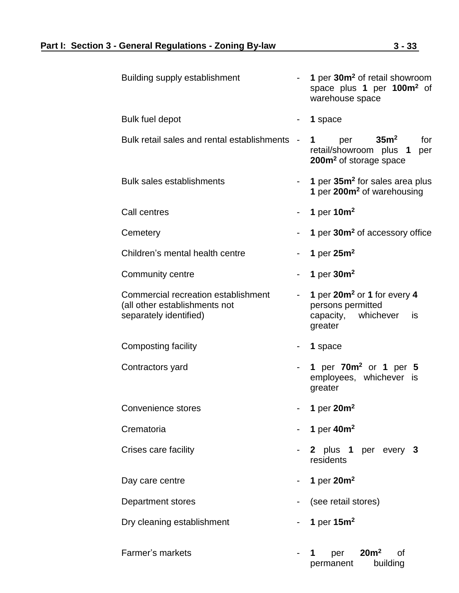| <b>Building supply establishment</b>                                                           |   | 1 per 30m <sup>2</sup> of retail showroom<br>space plus 1 per 100m <sup>2</sup> of<br>warehouse space      |  |  |  |
|------------------------------------------------------------------------------------------------|---|------------------------------------------------------------------------------------------------------------|--|--|--|
| <b>Bulk fuel depot</b>                                                                         |   | 1 space                                                                                                    |  |  |  |
| Bulk retail sales and rental establishments                                                    |   | 35 <sup>m²</sup><br>for<br>per<br>1<br>retail/showroom plus 1<br>per<br>200m <sup>2</sup> of storage space |  |  |  |
| <b>Bulk sales establishments</b>                                                               |   | 1 per 35m <sup>2</sup> for sales area plus<br>1 per 200m <sup>2</sup> of warehousing                       |  |  |  |
| Call centres                                                                                   |   | 1 per $10m^2$                                                                                              |  |  |  |
| Cemetery                                                                                       |   | 1 per 30m <sup>2</sup> of accessory office                                                                 |  |  |  |
| Children's mental health centre                                                                | - | 1 per $25m^2$                                                                                              |  |  |  |
| Community centre                                                                               |   | 1 per $30m^2$                                                                                              |  |  |  |
| Commercial recreation establishment<br>(all other establishments not<br>separately identified) |   | 1 per 20m <sup>2</sup> or 1 for every 4<br>persons permitted<br>capacity, whichever<br>is<br>greater       |  |  |  |
| Composting facility                                                                            |   | 1 space                                                                                                    |  |  |  |
| Contractors yard                                                                               |   | 1 per 70m <sup>2</sup> or 1 per 5<br>employees, whichever is<br>greater                                    |  |  |  |
| <b>Convenience stores</b>                                                                      |   | 1 per $20m^2$                                                                                              |  |  |  |
| Crematoria                                                                                     |   | 1 per $40m^2$                                                                                              |  |  |  |
| Crises care facility                                                                           |   | 2 plus 1 per every 3<br>residents                                                                          |  |  |  |
| Day care centre                                                                                |   | 1 per $20m^2$                                                                                              |  |  |  |
| Department stores                                                                              |   | (see retail stores)                                                                                        |  |  |  |
| Dry cleaning establishment                                                                     |   | 1 per $15m^2$                                                                                              |  |  |  |
| Farmer's markets                                                                               |   | 20m <sup>2</sup><br>οf<br>per<br>1<br>building<br>permanent                                                |  |  |  |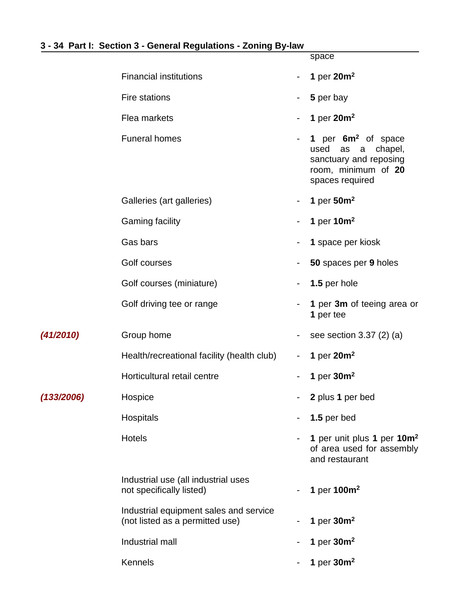### **3 - 34 Part I: Section 3 - General Regulations - Zoning By-law**

|            |                                                                           |   | space                                                                                                                  |
|------------|---------------------------------------------------------------------------|---|------------------------------------------------------------------------------------------------------------------------|
|            | <b>Financial institutions</b>                                             | - | 1 per $20m^2$                                                                                                          |
|            | <b>Fire stations</b>                                                      | ۰ | 5 per bay                                                                                                              |
|            | Flea markets                                                              | - | 1 per $20m^2$                                                                                                          |
|            | <b>Funeral homes</b>                                                      | - | 1 per $6m2$ of space<br>used<br>chapel,<br>as<br>a<br>sanctuary and reposing<br>room, minimum of 20<br>spaces required |
|            | Galleries (art galleries)                                                 | - | 1 per $50m^2$                                                                                                          |
|            | <b>Gaming facility</b>                                                    |   | 1 per $10m^2$                                                                                                          |
|            | Gas bars                                                                  | - | 1 space per kiosk                                                                                                      |
|            | Golf courses                                                              |   | 50 spaces per 9 holes                                                                                                  |
|            | Golf courses (miniature)                                                  |   | 1.5 per hole                                                                                                           |
|            | Golf driving tee or range                                                 |   | 1 per 3m of teeing area or<br>1 per tee                                                                                |
| (41/2010)  | Group home                                                                |   | see section $3.37$ (2) (a)                                                                                             |
|            | Health/recreational facility (health club)                                |   | 1 per $20m^2$                                                                                                          |
|            | Horticultural retail centre                                               |   | 1 per $30m^2$                                                                                                          |
| (133/2006) | Hospice                                                                   |   | 2 plus 1 per bed                                                                                                       |
|            | Hospitals                                                                 | - | 1.5 per bed                                                                                                            |
|            | <b>Hotels</b>                                                             |   | 1 per unit plus 1 per 10m <sup>2</sup><br>of area used for assembly<br>and restaurant                                  |
|            | Industrial use (all industrial uses<br>not specifically listed)           |   | 1 per 100m <sup>2</sup>                                                                                                |
|            | Industrial equipment sales and service<br>(not listed as a permitted use) |   | 1 per $30m^2$                                                                                                          |
|            | Industrial mall                                                           |   | 1 per $30m^2$                                                                                                          |
|            | <b>Kennels</b>                                                            |   | 1 per $30m^2$                                                                                                          |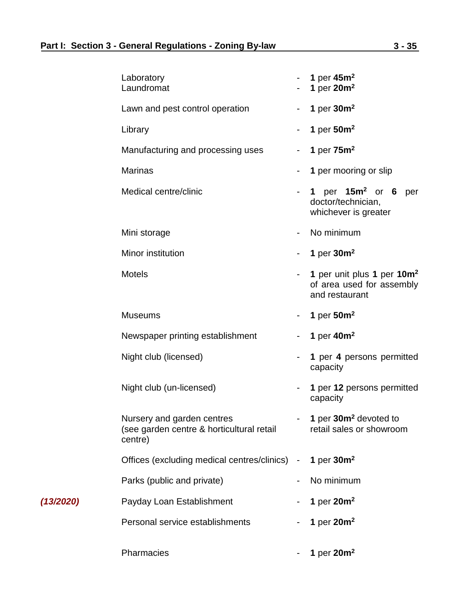*(13/2020)* 

| Laboratory<br>Laundromat                                                           |                | 1 per $45m2$<br>1 per $20m^2$                                                         |
|------------------------------------------------------------------------------------|----------------|---------------------------------------------------------------------------------------|
| Lawn and pest control operation                                                    |                | 1 per $30m^2$                                                                         |
| Library                                                                            |                | 1 per $50m^2$                                                                         |
| Manufacturing and processing uses                                                  |                | 1 per $75m^2$                                                                         |
| <b>Marinas</b>                                                                     |                | 1 per mooring or slip                                                                 |
| Medical centre/clinic                                                              |                | 1 per $15m^2$ or 6 per<br>doctor/technician,<br>whichever is greater                  |
| Mini storage                                                                       |                | No minimum                                                                            |
| Minor institution                                                                  | $\blacksquare$ | 1 per $30m^2$                                                                         |
| <b>Motels</b>                                                                      |                | 1 per unit plus 1 per 10m <sup>2</sup><br>of area used for assembly<br>and restaurant |
| <b>Museums</b>                                                                     | $\blacksquare$ | 1 per $50m^2$                                                                         |
| Newspaper printing establishment                                                   |                | 1 per $40m^2$                                                                         |
| Night club (licensed)                                                              |                | 1 per 4 persons permitted<br>capacity                                                 |
| Night club (un-licensed)                                                           |                | 1 per 12 persons permitted<br>capacity                                                |
| Nursery and garden centres<br>(see garden centre & horticultural retail<br>centre) |                | 1 per 30m <sup>2</sup> devoted to<br>retail sales or showroom                         |
| Offices (excluding medical centres/clinics) -                                      |                | 1 per $30m^2$                                                                         |
| Parks (public and private)                                                         |                | No minimum                                                                            |
| Payday Loan Establishment                                                          |                | 1 per $20m^2$                                                                         |
| Personal service establishments                                                    |                | 1 per $20m^2$                                                                         |
| Pharmacies                                                                         |                | 1 per $20m^2$                                                                         |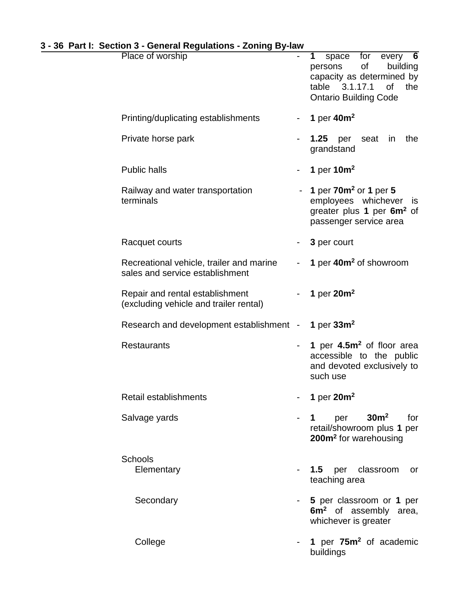|  |  |  |  |  |  | 3 - 36 Part I: Section 3 - General Regulations - Zoning By-law |
|--|--|--|--|--|--|----------------------------------------------------------------|
|--|--|--|--|--|--|----------------------------------------------------------------|

| <u>.</u><br>Place of worship                                                |            | space for every 6<br>1<br>of<br>building<br>persons<br>capacity as determined by<br>3.1.17.1<br>the<br>table<br>0f<br><b>Ontario Building Code</b> |
|-----------------------------------------------------------------------------|------------|----------------------------------------------------------------------------------------------------------------------------------------------------|
| Printing/duplicating establishments                                         |            | 1 per $40m^2$                                                                                                                                      |
| Private horse park                                                          |            | <b>1.25</b> per<br>seat in<br>the<br>grandstand                                                                                                    |
| <b>Public halls</b>                                                         |            | 1 per $10m^2$                                                                                                                                      |
| Railway and water transportation<br>terminals                               |            | 1 per $70m^2$ or 1 per 5<br>employees whichever is<br>greater plus 1 per 6m <sup>2</sup> of<br>passenger service area                              |
| Racquet courts                                                              |            | 3 per court                                                                                                                                        |
| Recreational vehicle, trailer and marine<br>sales and service establishment |            | 1 per 40m <sup>2</sup> of showroom                                                                                                                 |
| Repair and rental establishment<br>(excluding vehicle and trailer rental)   |            | 1 per $20m^2$                                                                                                                                      |
| Research and development establishment -                                    |            | 1 per $33m^2$                                                                                                                                      |
| <b>Restaurants</b>                                                          |            | 1 per 4.5m <sup>2</sup> of floor area<br>accessible to the public<br>and devoted exclusively to<br>such use                                        |
| Retail establishments                                                       |            | 1 per $20m^2$                                                                                                                                      |
| Salvage yards                                                               |            | per $30m^2$<br>for<br>$1 \quad \blacksquare$<br>retail/showroom plus 1 per<br>200m <sup>2</sup> for warehousing                                    |
| <b>Schools</b><br>Elementary                                                | $\sim 100$ | <b>1.5</b> per classroom<br>or<br>teaching area                                                                                                    |
| Secondary                                                                   |            | 5 per classroom or 1 per<br>6m <sup>2</sup> of assembly area,<br>whichever is greater                                                              |
| College                                                                     |            | 1 per 75m <sup>2</sup> of academic<br>buildings                                                                                                    |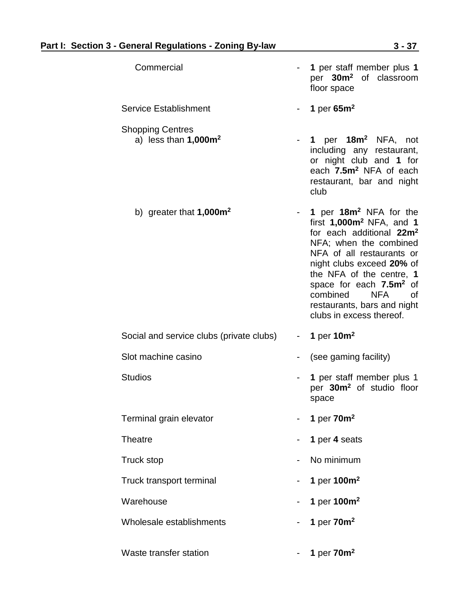| Commercial                                         |        | 1 per staff member plus 1<br>per 30m <sup>2</sup> of classroom<br>floor space                                                                                                                                                                                                                                                                               |
|----------------------------------------------------|--------|-------------------------------------------------------------------------------------------------------------------------------------------------------------------------------------------------------------------------------------------------------------------------------------------------------------------------------------------------------------|
| <b>Service Establishment</b>                       | $\sim$ | 1 per $65m^2$                                                                                                                                                                                                                                                                                                                                               |
| <b>Shopping Centres</b><br>a) less than $1,000m^2$ |        | 1 per $18m^2$ NFA, not<br>including any restaurant,<br>or night club and 1 for<br>each 7.5m <sup>2</sup> NFA of each<br>restaurant, bar and night<br>club                                                                                                                                                                                                   |
| b) greater that $1,000m^2$                         |        | 1 per 18m <sup>2</sup> NFA for the<br>first $1,000m^2$ NFA, and 1<br>for each additional 22m <sup>2</sup><br>NFA; when the combined<br>NFA of all restaurants or<br>night clubs exceed 20% of<br>the NFA of the centre, 1<br>space for each 7.5m <sup>2</sup> of<br>combined<br><b>NFA</b><br>Ωf<br>restaurants, bars and night<br>clubs in excess thereof. |
| Social and service clubs (private clubs)           | $\sim$ | 1 per $10m^2$                                                                                                                                                                                                                                                                                                                                               |
| Slot machine casino                                |        | (see gaming facility)                                                                                                                                                                                                                                                                                                                                       |
| <b>Studios</b>                                     |        | 1 per staff member plus 1<br>per 30m <sup>2</sup> of studio floor<br>space                                                                                                                                                                                                                                                                                  |
| Terminal grain elevator                            |        | 1 per $70m^2$                                                                                                                                                                                                                                                                                                                                               |
| <b>Theatre</b>                                     |        | 1 per 4 seats                                                                                                                                                                                                                                                                                                                                               |
| <b>Truck stop</b>                                  |        | No minimum                                                                                                                                                                                                                                                                                                                                                  |
| Truck transport terminal                           | ۰      | 1 per 100m <sup>2</sup>                                                                                                                                                                                                                                                                                                                                     |
| Warehouse                                          |        | 1 per 100m <sup>2</sup>                                                                                                                                                                                                                                                                                                                                     |
| Wholesale establishments                           |        | 1 per $70m^2$                                                                                                                                                                                                                                                                                                                                               |
| Waste transfer station                             |        | 1 per $70m^2$                                                                                                                                                                                                                                                                                                                                               |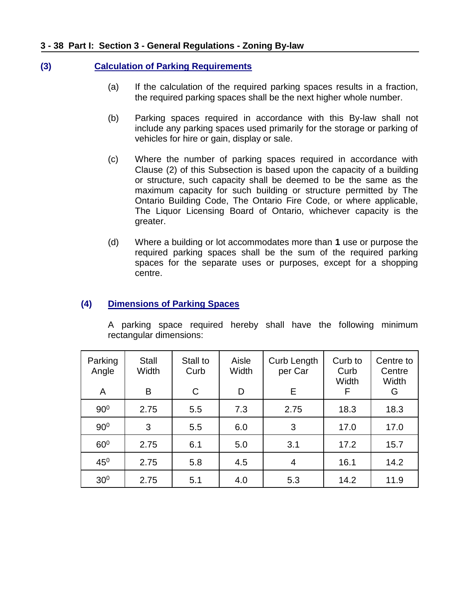#### **3 - 38 Part I: Section 3 - General Regulations - Zoning By-law**

### **(3) Calculation of Parking Requirements**

- (a) If the calculation of the required parking spaces results in a fraction, the required parking spaces shall be the next higher whole number.
- (b) Parking spaces required in accordance with this By-law shall not include any parking spaces used primarily for the storage or parking of vehicles for hire or gain, display or sale.
- (c) Where the number of parking spaces required in accordance with Clause (2) of this Subsection is based upon the capacity of a building or structure, such capacity shall be deemed to be the same as the maximum capacity for such building or structure permitted by The Ontario Building Code, The Ontario Fire Code, or where applicable, The Liquor Licensing Board of Ontario, whichever capacity is the greater.
- (d) Where a building or lot accommodates more than **1** use or purpose the required parking spaces shall be the sum of the required parking spaces for the separate uses or purposes, except for a shopping centre.

### **(4) Dimensions of Parking Spaces**

A parking space required hereby shall have the following minimum rectangular dimensions:

| Parking<br>Angle<br>A | Stall<br>Width<br>B | Stall to<br>Curb<br>C | Aisle<br>Width<br>D | Curb Length<br>per Car<br>Е | Curb to<br>Curb<br>Width<br>F | Centre to<br>Centre<br>Width<br>G |
|-----------------------|---------------------|-----------------------|---------------------|-----------------------------|-------------------------------|-----------------------------------|
| 90 <sup>0</sup>       | 2.75                | 5.5                   | 7.3                 | 2.75                        | 18.3                          | 18.3                              |
| 90 <sup>0</sup>       | 3                   | 5.5                   | 6.0                 | 3                           | 17.0                          | 17.0                              |
| 60 <sup>0</sup>       | 2.75                | 6.1                   | 5.0                 | 3.1                         | 17.2                          | 15.7                              |
| $45^{\circ}$          | 2.75                | 5.8                   | 4.5                 | 4                           | 16.1                          | 14.2                              |
| 30 <sup>0</sup>       | 2.75                | 5.1                   | 4.0                 | 5.3                         | 14.2                          | 11.9                              |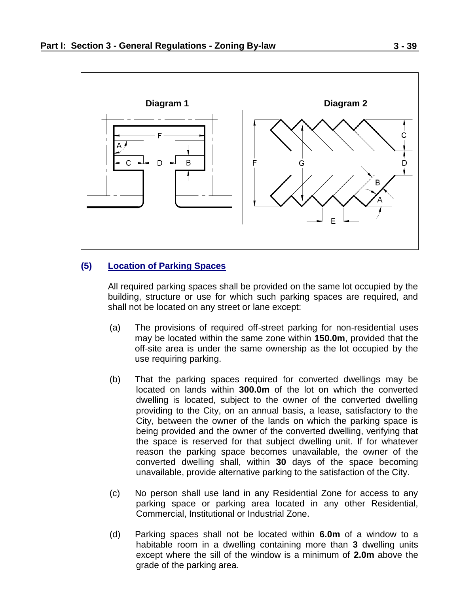

#### **(5) Location of Parking Spaces**

All required parking spaces shall be provided on the same lot occupied by the building, structure or use for which such parking spaces are required, and shall not be located on any street or lane except:

- (a) The provisions of required off-street parking for non-residential uses may be located within the same zone within **150.0m**, provided that the off-site area is under the same ownership as the lot occupied by the use requiring parking.
- (b) That the parking spaces required for converted dwellings may be located on lands within **300.0m** of the lot on which the converted dwelling is located, subject to the owner of the converted dwelling providing to the City, on an annual basis, a lease, satisfactory to the City, between the owner of the lands on which the parking space is being provided and the owner of the converted dwelling, verifying that the space is reserved for that subject dwelling unit. If for whatever reason the parking space becomes unavailable, the owner of the converted dwelling shall, within **30** days of the space becoming unavailable, provide alternative parking to the satisfaction of the City.
- (c) No person shall use land in any Residential Zone for access to any parking space or parking area located in any other Residential, Commercial, Institutional or Industrial Zone.
- (d) Parking spaces shall not be located within **6.0m** of a window to a habitable room in a dwelling containing more than **3** dwelling units except where the sill of the window is a minimum of **2.0m** above the grade of the parking area.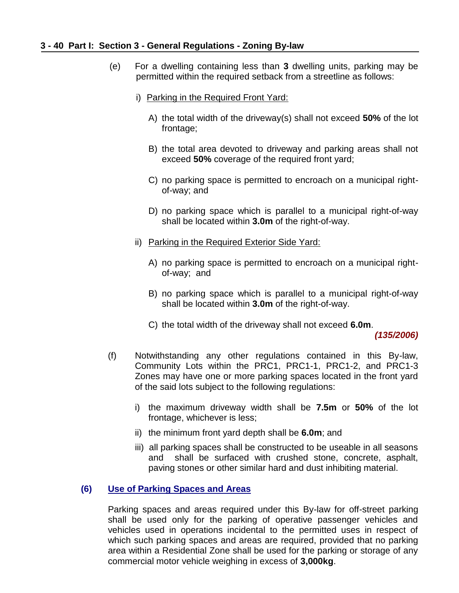#### **3 - 40 Part I: Section 3 - General Regulations - Zoning By-law**

- (e) For a dwelling containing less than **3** dwelling units, parking may be permitted within the required setback from a streetline as follows:
	- i) Parking in the Required Front Yard:
		- A) the total width of the driveway(s) shall not exceed **50%** of the lot frontage;
		- B) the total area devoted to driveway and parking areas shall not exceed **50%** coverage of the required front yard;
		- C) no parking space is permitted to encroach on a municipal rightof-way; and
		- D) no parking space which is parallel to a municipal right-of-way shall be located within **3.0m** of the right-of-way.
	- ii) Parking in the Required Exterior Side Yard:
		- A) no parking space is permitted to encroach on a municipal rightof-way; and
		- B) no parking space which is parallel to a municipal right-of-way shall be located within **3.0m** of the right-of-way.
		- C) the total width of the driveway shall not exceed **6.0m**.

*(135/2006)*

- (f) Notwithstanding any other regulations contained in this By-law, Community Lots within the PRC1, PRC1-1, PRC1-2, and PRC1-3 Zones may have one or more parking spaces located in the front yard of the said lots subject to the following regulations:
	- i) the maximum driveway width shall be **7.5m** or **50%** of the lot frontage, whichever is less;
	- ii) the minimum front yard depth shall be **6.0m**; and
	- iii) all parking spaces shall be constructed to be useable in all seasons and shall be surfaced with crushed stone, concrete, asphalt, paving stones or other similar hard and dust inhibiting material.

#### **(6) Use of Parking Spaces and Areas**

Parking spaces and areas required under this By-law for off-street parking shall be used only for the parking of operative passenger vehicles and vehicles used in operations incidental to the permitted uses in respect of which such parking spaces and areas are required, provided that no parking area within a Residential Zone shall be used for the parking or storage of any commercial motor vehicle weighing in excess of **3,000kg**.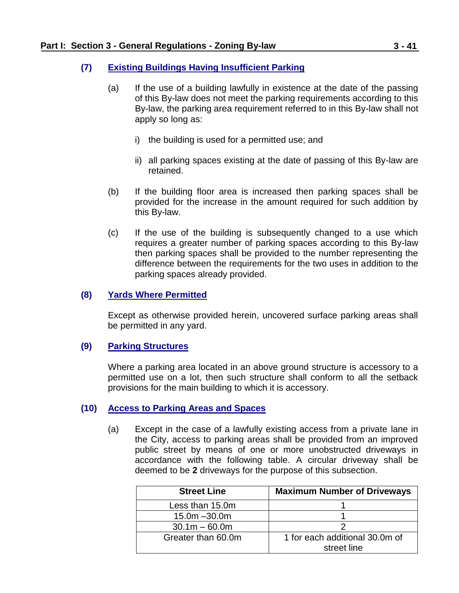### **(7) Existing Buildings Having Insufficient Parking**

- (a) If the use of a building lawfully in existence at the date of the passing of this By-law does not meet the parking requirements according to this By-law, the parking area requirement referred to in this By-law shall not apply so long as:
	- i) the building is used for a permitted use; and
	- ii) all parking spaces existing at the date of passing of this By-law are retained.
- (b) If the building floor area is increased then parking spaces shall be provided for the increase in the amount required for such addition by this By-law.
- (c) If the use of the building is subsequently changed to a use which requires a greater number of parking spaces according to this By-law then parking spaces shall be provided to the number representing the difference between the requirements for the two uses in addition to the parking spaces already provided.

### **(8) Yards Where Permitted**

Except as otherwise provided herein, uncovered surface parking areas shall be permitted in any yard.

#### **(9) Parking Structures**

Where a parking area located in an above ground structure is accessory to a permitted use on a lot, then such structure shall conform to all the setback provisions for the main building to which it is accessory.

#### **(10) Access to Parking Areas and Spaces**

(a) Except in the case of a lawfully existing access from a private lane in the City, access to parking areas shall be provided from an improved public street by means of one or more unobstructed driveways in accordance with the following table. A circular driveway shall be deemed to be **2** driveways for the purpose of this subsection.

| <b>Street Line</b> | <b>Maximum Number of Driveways</b> |
|--------------------|------------------------------------|
| Less than 15.0m    |                                    |
| $15.0m - 30.0m$    |                                    |
| $30.1m - 60.0m$    |                                    |
| Greater than 60.0m | 1 for each additional 30.0m of     |
|                    | street line                        |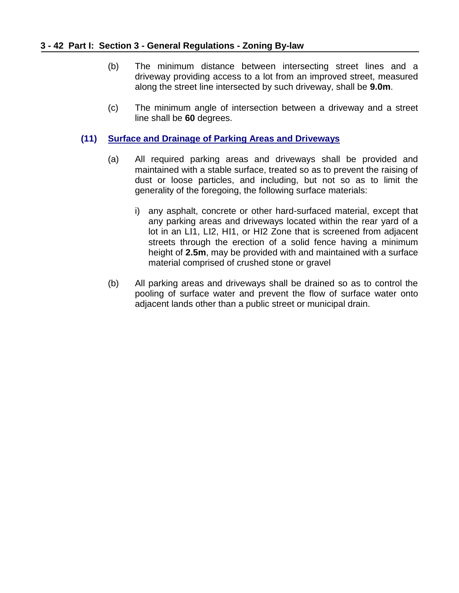#### **3 - 42 Part I: Section 3 - General Regulations - Zoning By-law**

- (b) The minimum distance between intersecting street lines and a driveway providing access to a lot from an improved street, measured along the street line intersected by such driveway, shall be **9.0m**.
- (c) The minimum angle of intersection between a driveway and a street line shall be **60** degrees.

### **(11) Surface and Drainage of Parking Areas and Driveways**

- (a) All required parking areas and driveways shall be provided and maintained with a stable surface, treated so as to prevent the raising of dust or loose particles, and including, but not so as to limit the generality of the foregoing, the following surface materials:
	- i) any asphalt, concrete or other hard-surfaced material, except that any parking areas and driveways located within the rear yard of a lot in an LI1, LI2, HI1, or HI2 Zone that is screened from adjacent streets through the erection of a solid fence having a minimum height of **2.5m**, may be provided with and maintained with a surface material comprised of crushed stone or gravel
- (b) All parking areas and driveways shall be drained so as to control the pooling of surface water and prevent the flow of surface water onto adjacent lands other than a public street or municipal drain.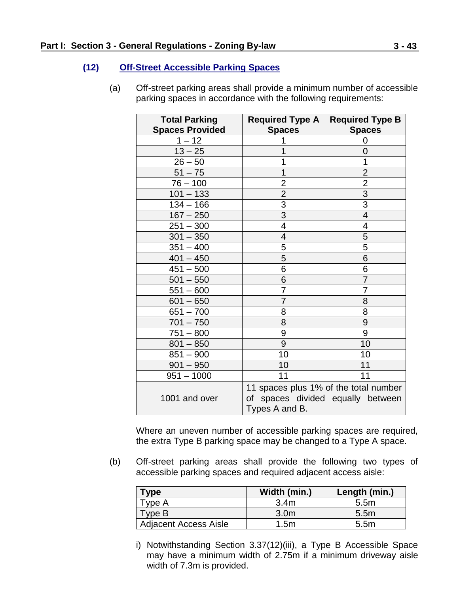### **(12) Off-Street Accessible Parking Spaces**

(a) Off-street parking areas shall provide a minimum number of accessible parking spaces in accordance with the following requirements:

| <b>Total Parking</b>   | <b>Required Type A</b>                | <b>Required Type B</b> |
|------------------------|---------------------------------------|------------------------|
| <b>Spaces Provided</b> | <b>Spaces</b>                         | <b>Spaces</b>          |
| $1 - 12$               |                                       | 0                      |
| $13 - 25$              |                                       | 0                      |
| $26 - 50$              | 1                                     | 1                      |
| $51 - 75$              | 1                                     | $\overline{2}$         |
| $76 - 100$             | $\overline{c}$                        | $\overline{2}$         |
| $101 - 133$            | $\overline{2}$                        | $\overline{3}$         |
| $134 - 166$            | $\overline{3}$                        | $\overline{3}$         |
| $167 - 250$            | $\overline{3}$                        | $\overline{4}$         |
| $251 - 300$            | $\overline{4}$                        | 4                      |
| $301 - 350$            | $\overline{4}$                        | 5                      |
| $351 - 400$            | 5                                     | 5                      |
| $401 - 450$            | 5                                     | 6                      |
| $451 - 500$            | 6                                     | 6                      |
| $501 - 550$            | 6                                     | $\overline{7}$         |
| $551 - 600$            | 7                                     | 7                      |
| $601 - 650$            | $\overline{7}$                        | 8                      |
| $651 - 700$            | 8                                     | 8                      |
| $701 - 750$            | 8                                     | 9                      |
| $751 - 800$            | 9                                     | 9                      |
| $801 - 850$            | 9                                     | 10                     |
| $851 - 900$            | 10                                    | 10                     |
| $901 - 950$            | 10                                    | 11                     |
| $951 - 1000$           | 11                                    | 11                     |
|                        | 11 spaces plus 1% of the total number |                        |
| 1001 and over          | of spaces divided equally between     |                        |
|                        | Types A and B.                        |                        |

Where an uneven number of accessible parking spaces are required, the extra Type B parking space may be changed to a Type A space.

(b) Off-street parking areas shall provide the following two types of accessible parking spaces and required adjacent access aisle:

| Гуре                         | Width (min.)     | Length (min.)    |
|------------------------------|------------------|------------------|
| Type A                       | 3.4 <sub>m</sub> | 5.5m             |
| Type B                       | 3.0 <sub>m</sub> | 5.5 <sub>m</sub> |
| <b>Adjacent Access Aisle</b> | 1.5m             | 5.5 <sub>m</sub> |

i) Notwithstanding Section 3.37(12)(iii), a Type B Accessible Space may have a minimum width of 2.75m if a minimum driveway aisle width of 7.3m is provided.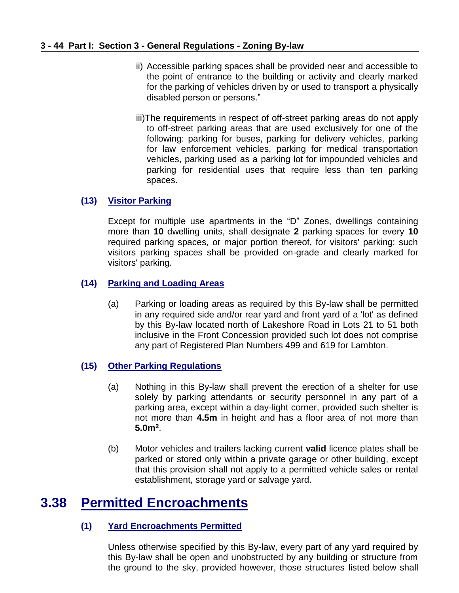- ii) Accessible parking spaces shall be provided near and accessible to the point of entrance to the building or activity and clearly marked for the parking of vehicles driven by or used to transport a physically disabled person or persons."
- iii)The requirements in respect of off-street parking areas do not apply to off-street parking areas that are used exclusively for one of the following: parking for buses, parking for delivery vehicles, parking for law enforcement vehicles, parking for medical transportation vehicles, parking used as a parking lot for impounded vehicles and parking for residential uses that require less than ten parking spaces.

### **(13) Visitor Parking**

Except for multiple use apartments in the "D" Zones, dwellings containing more than **10** dwelling units, shall designate **2** parking spaces for every **10** required parking spaces, or major portion thereof, for visitors' parking; such visitors parking spaces shall be provided on-grade and clearly marked for visitors' parking.

### **(14) Parking and Loading Areas**

(a) Parking or loading areas as required by this By-law shall be permitted in any required side and/or rear yard and front yard of a 'lot' as defined by this By-law located north of Lakeshore Road in Lots 21 to 51 both inclusive in the Front Concession provided such lot does not comprise any part of Registered Plan Numbers 499 and 619 for Lambton.

### **(15) Other Parking Regulations**

- (a) Nothing in this By-law shall prevent the erection of a shelter for use solely by parking attendants or security personnel in any part of a parking area, except within a day-light corner, provided such shelter is not more than **4.5m** in height and has a floor area of not more than **5.0m<sup>2</sup>** .
- (b) Motor vehicles and trailers lacking current **valid** licence plates shall be parked or stored only within a private garage or other building, except that this provision shall not apply to a permitted vehicle sales or rental establishment, storage yard or salvage yard.

### <span id="page-43-0"></span>**3.38 Permitted Encroachments**

### **(1) Yard Encroachments Permitted**

Unless otherwise specified by this By-law, every part of any yard required by this By-law shall be open and unobstructed by any building or structure from the ground to the sky, provided however, those structures listed below shall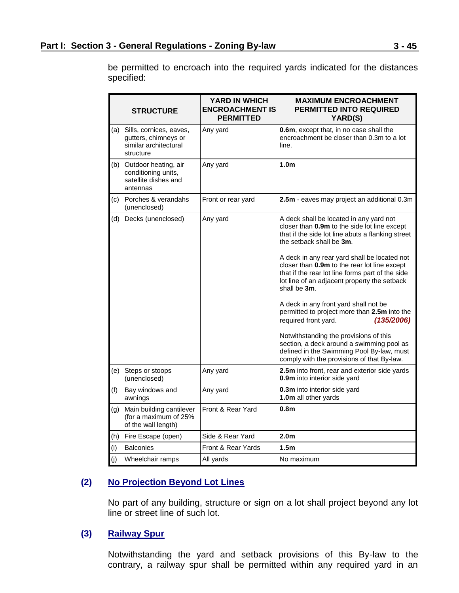**STRUCTURE YARD IN WHICH ENCROACHMENT IS PERMITTED MAXIMUM ENCROACHMENT PERMITTED INTO REQUIRED YARD(S)** (a) Sills, cornices, eaves, gutters, chimneys or similar architectural structure Any yard **0.6m**, except that, in no case shall the encroachment be closer than 0.3m to a lot line. (b) Outdoor heating, air conditioning units, satellite dishes and antennas Any yard **1.0m** (c) Porches & verandahs (unenclosed) Front or rear yard **2.5m** - eaves may project an additional 0.3m (d) Decks (unenclosed) Any yard A deck shall be located in any yard not closer than **0.9m** to the side lot line except that if the side lot line abuts a flanking street the setback shall be **3m**. A deck in any rear yard shall be located not closer than **0.9m** to the rear lot line except that if the rear lot line forms part of the side lot line of an adjacent property the setback shall be **3m**. A deck in any front yard shall not be permitted to project more than **2.5m** into the required front yard. *(135/2006)* Notwithstanding the provisions of this section, a deck around a swimming pool as defined in the Swimming Pool By-law, must comply with the provisions of that By-law. (e) Steps or stoops (unenclosed) Any yard **2.5m** into front, rear and exterior side yards **0.9m** into interior side yard (f) Bay windows and awnings Any yard **0.3m** into interior side yard **1.0m** all other yards (g) Main building cantilever (for a maximum of 25% of the wall length) Front & Rear Yard **0.8m** (h) Fire Escape (open) Side & Rear Yard **2.0m** (i) Balconies Front & Rear Yards **1.5m** (i) Wheelchair ramps  $\vert$  All yards  $\vert$  No maximum

be permitted to encroach into the required yards indicated for the distances specified:

### **(2) No Projection Beyond Lot Lines**

No part of any building, structure or sign on a lot shall project beyond any lot line or street line of such lot.

### **(3) Railway Spur**

Notwithstanding the yard and setback provisions of this By-law to the contrary, a railway spur shall be permitted within any required yard in an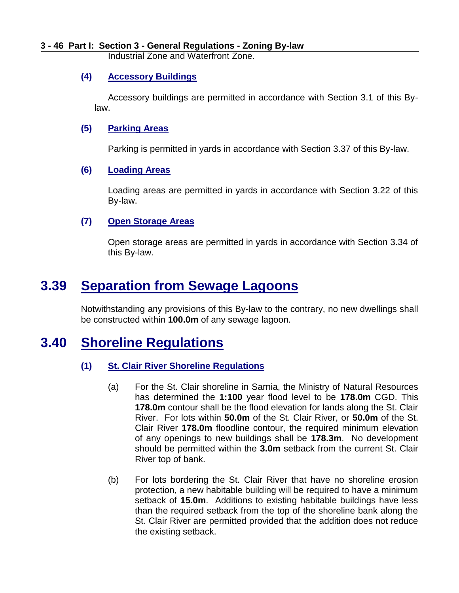Industrial Zone and Waterfront Zone.

### **(4) Accessory Buildings**

Accessory buildings are permitted in accordance with Section 3.1 of this Bylaw.

### **(5) Parking Areas**

Parking is permitted in yards in accordance with Section 3.37 of this By-law.

#### **(6) Loading Areas**

Loading areas are permitted in yards in accordance with Section 3.22 of this By-law.

### **(7) Open Storage Areas**

Open storage areas are permitted in yards in accordance with Section 3.34 of this By-law.

### <span id="page-45-0"></span>**3.39 Separation from Sewage Lagoons**

Notwithstanding any provisions of this By-law to the contrary, no new dwellings shall be constructed within **100.0m** of any sewage lagoon.

### **3.40 Shoreline Regulations**

### <span id="page-45-1"></span>**(1) St. Clair River Shoreline Regulations**

- (a) For the St. Clair shoreline in Sarnia, the Ministry of Natural Resources has determined the **1:100** year flood level to be **178.0m** CGD. This **178.0m** contour shall be the flood elevation for lands along the St. Clair River. For lots within **50.0m** of the St. Clair River, or **50.0m** of the St. Clair River **178.0m** floodline contour, the required minimum elevation of any openings to new buildings shall be **178.3m**. No development should be permitted within the **3.0m** setback from the current St. Clair River top of bank.
- (b) For lots bordering the St. Clair River that have no shoreline erosion protection, a new habitable building will be required to have a minimum setback of **15.0m**. Additions to existing habitable buildings have less than the required setback from the top of the shoreline bank along the St. Clair River are permitted provided that the addition does not reduce the existing setback.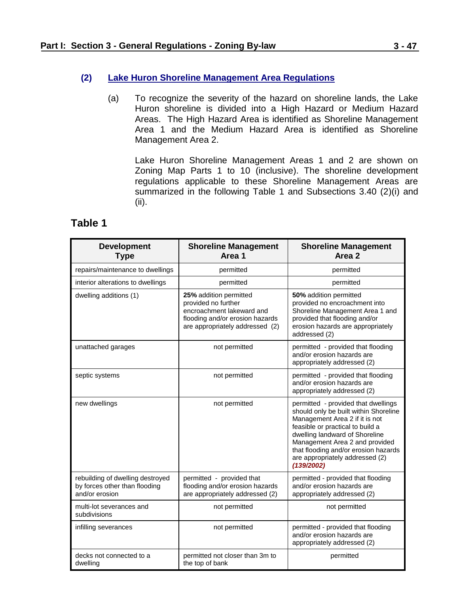### **(2) Lake Huron Shoreline Management Area Regulations**

(a) To recognize the severity of the hazard on shoreline lands, the Lake Huron shoreline is divided into a High Hazard or Medium Hazard Areas. The High Hazard Area is identified as Shoreline Management Area 1 and the Medium Hazard Area is identified as Shoreline Management Area 2.

Lake Huron Shoreline Management Areas 1 and 2 are shown on Zoning Map Parts 1 to 10 (inclusive). The shoreline development regulations applicable to these Shoreline Management Areas are summarized in the following Table 1 and Subsections 3.40 (2)(i) and (ii).

### **Table 1**

| <b>Development</b><br><b>Type</b>                                                   | <b>Shoreline Management</b><br>Area 1                                                                                                            | <b>Shoreline Management</b><br>Area 2                                                                                                                                                                                                                                                                           |
|-------------------------------------------------------------------------------------|--------------------------------------------------------------------------------------------------------------------------------------------------|-----------------------------------------------------------------------------------------------------------------------------------------------------------------------------------------------------------------------------------------------------------------------------------------------------------------|
| repairs/maintenance to dwellings                                                    | permitted                                                                                                                                        | permitted                                                                                                                                                                                                                                                                                                       |
| interior alterations to dwellings                                                   | permitted                                                                                                                                        | permitted                                                                                                                                                                                                                                                                                                       |
| dwelling additions (1)                                                              | 25% addition permitted<br>provided no further<br>encroachment lakeward and<br>flooding and/or erosion hazards<br>are appropriately addressed (2) | 50% addition permitted<br>provided no encroachment into<br>Shoreline Management Area 1 and<br>provided that flooding and/or<br>erosion hazards are appropriately<br>addressed (2)                                                                                                                               |
| unattached garages                                                                  | not permitted                                                                                                                                    | permitted - provided that flooding<br>and/or erosion hazards are<br>appropriately addressed (2)                                                                                                                                                                                                                 |
| septic systems                                                                      | not permitted                                                                                                                                    | permitted - provided that flooding<br>and/or erosion hazards are<br>appropriately addressed (2)                                                                                                                                                                                                                 |
| new dwellings                                                                       | not permitted                                                                                                                                    | permitted - provided that dwellings<br>should only be built within Shoreline<br>Management Area 2 if it is not<br>feasible or practical to build a<br>dwelling landward of Shoreline<br>Management Area 2 and provided<br>that flooding and/or erosion hazards<br>are appropriately addressed (2)<br>(139/2002) |
| rebuilding of dwelling destroyed<br>by forces other than flooding<br>and/or erosion | permitted - provided that<br>flooding and/or erosion hazards<br>are appropriately addressed (2)                                                  | permitted - provided that flooding<br>and/or erosion hazards are<br>appropriately addressed (2)                                                                                                                                                                                                                 |
| multi-lot severances and<br>subdivisions                                            | not permitted                                                                                                                                    | not permitted                                                                                                                                                                                                                                                                                                   |
| infilling severances                                                                | not permitted                                                                                                                                    | permitted - provided that flooding<br>and/or erosion hazards are<br>appropriately addressed (2)                                                                                                                                                                                                                 |
| decks not connected to a<br>dwelling                                                | permitted not closer than 3m to<br>the top of bank                                                                                               | permitted                                                                                                                                                                                                                                                                                                       |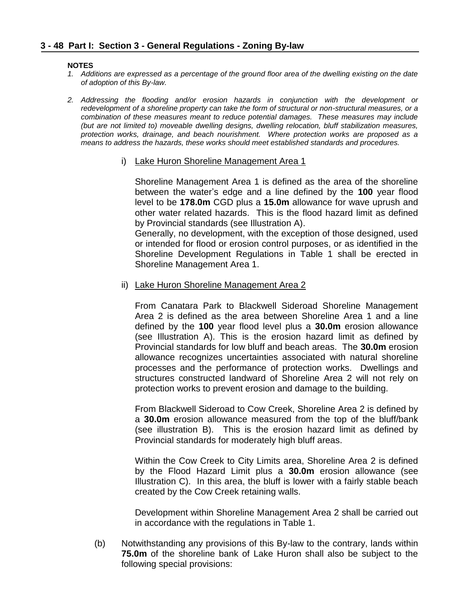#### **NOTES**

- *1. Additions are expressed as a percentage of the ground floor area of the dwelling existing on the date of adoption of this By-law.*
- *2. Addressing the flooding and/or erosion hazards in conjunction with the development or redevelopment of a shoreline property can take the form of structural or non-structural measures, or a combination of these measures meant to reduce potential damages. These measures may include (but are not limited to) moveable dwelling designs, dwelling relocation, bluff stabilization measures, protection works, drainage, and beach nourishment. Where protection works are proposed as a means to address the hazards, these works should meet established standards and procedures.*
	- i) Lake Huron Shoreline Management Area 1

Shoreline Management Area 1 is defined as the area of the shoreline between the water's edge and a line defined by the **100** year flood level to be **178.0m** CGD plus a **15.0m** allowance for wave uprush and other water related hazards. This is the flood hazard limit as defined by Provincial standards (see Illustration A).

Generally, no development, with the exception of those designed, used or intended for flood or erosion control purposes, or as identified in the Shoreline Development Regulations in Table 1 shall be erected in Shoreline Management Area 1.

ii) Lake Huron Shoreline Management Area 2

From Canatara Park to Blackwell Sideroad Shoreline Management Area 2 is defined as the area between Shoreline Area 1 and a line defined by the **100** year flood level plus a **30.0m** erosion allowance (see Illustration A). This is the erosion hazard limit as defined by Provincial standards for low bluff and beach areas. The **30.0m** erosion allowance recognizes uncertainties associated with natural shoreline processes and the performance of protection works. Dwellings and structures constructed landward of Shoreline Area 2 will not rely on protection works to prevent erosion and damage to the building.

From Blackwell Sideroad to Cow Creek, Shoreline Area 2 is defined by a **30.0m** erosion allowance measured from the top of the bluff/bank (see illustration B). This is the erosion hazard limit as defined by Provincial standards for moderately high bluff areas.

Within the Cow Creek to City Limits area, Shoreline Area 2 is defined by the Flood Hazard Limit plus a **30.0m** erosion allowance (see Illustration C). In this area, the bluff is lower with a fairly stable beach created by the Cow Creek retaining walls.

Development within Shoreline Management Area 2 shall be carried out in accordance with the regulations in Table 1.

(b) Notwithstanding any provisions of this By-law to the contrary, lands within **75.0m** of the shoreline bank of Lake Huron shall also be subject to the following special provisions: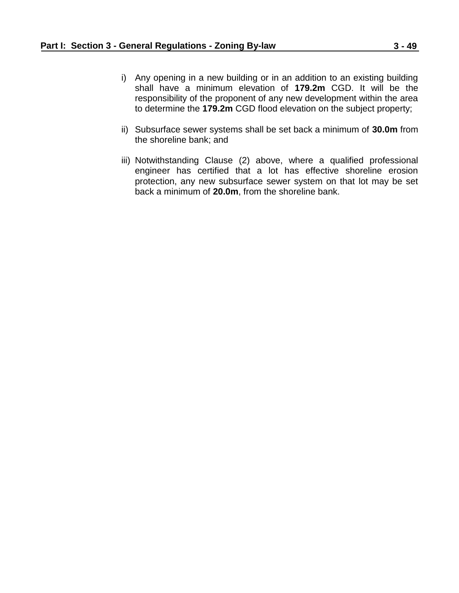- i) Any opening in a new building or in an addition to an existing building shall have a minimum elevation of **179.2m** CGD. It will be the responsibility of the proponent of any new development within the area to determine the **179.2m** CGD flood elevation on the subject property;
- ii) Subsurface sewer systems shall be set back a minimum of **30.0m** from the shoreline bank; and
- iii) Notwithstanding Clause (2) above, where a qualified professional engineer has certified that a lot has effective shoreline erosion protection, any new subsurface sewer system on that lot may be set back a minimum of **20.0m**, from the shoreline bank.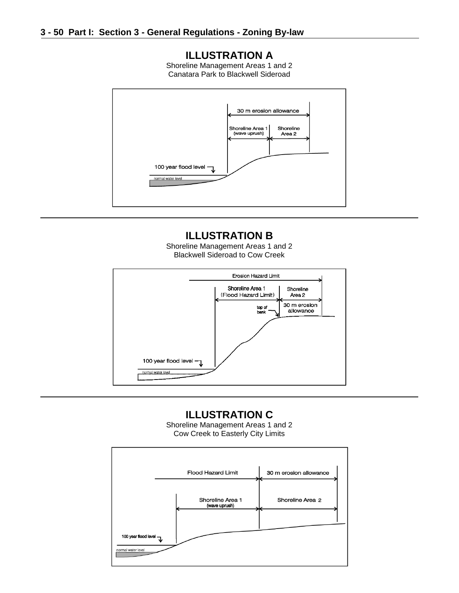### **ILLUSTRATION A**

Shoreline Management Areas 1 and 2 Canatara Park to Blackwell Sideroad



### **ILLUSTRATION B**

Shoreline Management Areas 1 and 2 Blackwell Sideroad to Cow Creek



### **ILLUSTRATION C**

Shoreline Management Areas 1 and 2 Cow Creek to Easterly City Limits

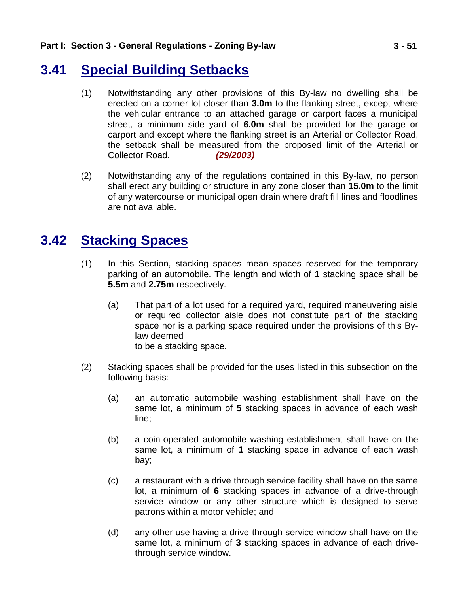### <span id="page-50-0"></span>**3.41 Special Building Setbacks**

- (1) Notwithstanding any other provisions of this By-law no dwelling shall be erected on a corner lot closer than **3.0m** to the flanking street, except where the vehicular entrance to an attached garage or carport faces a municipal street, a minimum side yard of **6.0m** shall be provided for the garage or carport and except where the flanking street is an Arterial or Collector Road, the setback shall be measured from the proposed limit of the Arterial or Collector Road. *(29/2003)*
- (2) Notwithstanding any of the regulations contained in this By-law, no person shall erect any building or structure in any zone closer than **15.0m** to the limit of any watercourse or municipal open drain where draft fill lines and floodlines are not available.

### <span id="page-50-1"></span>**3.42 Stacking Spaces**

- (1) In this Section, stacking spaces mean spaces reserved for the temporary parking of an automobile. The length and width of **1** stacking space shall be **5.5m** and **2.75m** respectively.
	- (a) That part of a lot used for a required yard, required maneuvering aisle or required collector aisle does not constitute part of the stacking space nor is a parking space required under the provisions of this Bylaw deemed to be a stacking space.
- (2) Stacking spaces shall be provided for the uses listed in this subsection on the following basis:
	- (a) an automatic automobile washing establishment shall have on the same lot, a minimum of **5** stacking spaces in advance of each wash line;
	- (b) a coin-operated automobile washing establishment shall have on the same lot, a minimum of **1** stacking space in advance of each wash bay;
	- (c) a restaurant with a drive through service facility shall have on the same lot, a minimum of **6** stacking spaces in advance of a drive-through service window or any other structure which is designed to serve patrons within a motor vehicle; and
	- (d) any other use having a drive-through service window shall have on the same lot, a minimum of **3** stacking spaces in advance of each drivethrough service window.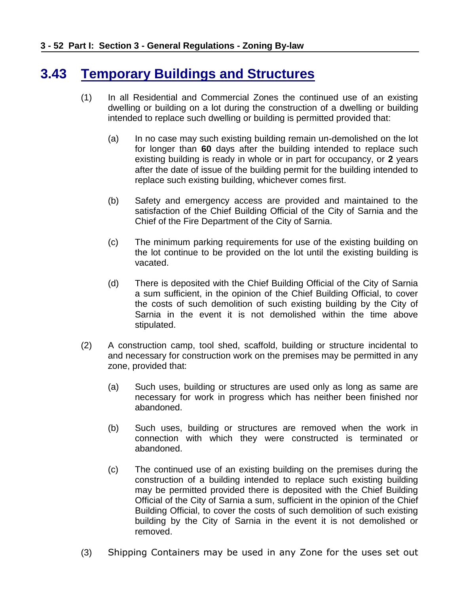# <span id="page-51-0"></span>**3.43 Temporary Buildings and Structures**

- (1) In all Residential and Commercial Zones the continued use of an existing dwelling or building on a lot during the construction of a dwelling or building intended to replace such dwelling or building is permitted provided that:
	- (a) In no case may such existing building remain un-demolished on the lot for longer than **60** days after the building intended to replace such existing building is ready in whole or in part for occupancy, or **2** years after the date of issue of the building permit for the building intended to replace such existing building, whichever comes first.
	- (b) Safety and emergency access are provided and maintained to the satisfaction of the Chief Building Official of the City of Sarnia and the Chief of the Fire Department of the City of Sarnia.
	- (c) The minimum parking requirements for use of the existing building on the lot continue to be provided on the lot until the existing building is vacated.
	- (d) There is deposited with the Chief Building Official of the City of Sarnia a sum sufficient, in the opinion of the Chief Building Official, to cover the costs of such demolition of such existing building by the City of Sarnia in the event it is not demolished within the time above stipulated.
- (2) A construction camp, tool shed, scaffold, building or structure incidental to and necessary for construction work on the premises may be permitted in any zone, provided that:
	- (a) Such uses, building or structures are used only as long as same are necessary for work in progress which has neither been finished nor abandoned.
	- (b) Such uses, building or structures are removed when the work in connection with which they were constructed is terminated or abandoned.
	- (c) The continued use of an existing building on the premises during the construction of a building intended to replace such existing building may be permitted provided there is deposited with the Chief Building Official of the City of Sarnia a sum, sufficient in the opinion of the Chief Building Official, to cover the costs of such demolition of such existing building by the City of Sarnia in the event it is not demolished or removed.
- (3) Shipping Containers may be used in any Zone for the uses set out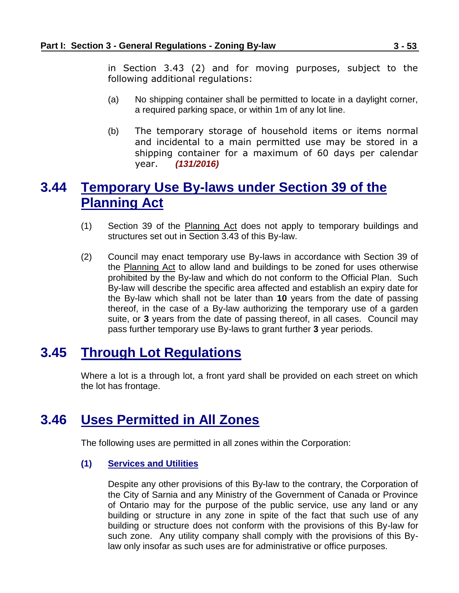in Section 3.43 (2) and for moving purposes, subject to the following additional regulations:

- (a) No shipping container shall be permitted to locate in a daylight corner, a required parking space, or within 1m of any lot line.
- (b) The temporary storage of household items or items normal and incidental to a main permitted use may be stored in a shipping container for a maximum of 60 days per calendar year. *(131/2016)*

### <span id="page-52-0"></span>**3.44 Temporary Use By-laws under Section 39 of the Planning Act**

- (1) Section 39 of the Planning Act does not apply to temporary buildings and structures set out in Section 3.43 of this By-law.
- (2) Council may enact temporary use By-laws in accordance with Section 39 of the Planning Act to allow land and buildings to be zoned for uses otherwise prohibited by the By-law and which do not conform to the Official Plan. Such By-law will describe the specific area affected and establish an expiry date for the By-law which shall not be later than **10** years from the date of passing thereof, in the case of a By-law authorizing the temporary use of a garden suite, or **3** years from the date of passing thereof, in all cases. Council may pass further temporary use By-laws to grant further **3** year periods.

### <span id="page-52-1"></span>**3.45 Through Lot Regulations**

Where a lot is a through lot, a front yard shall be provided on each street on which the lot has frontage.

### <span id="page-52-2"></span>**3.46 Uses Permitted in All Zones**

The following uses are permitted in all zones within the Corporation:

#### **(1) Services and Utilities**

Despite any other provisions of this By-law to the contrary, the Corporation of the City of Sarnia and any Ministry of the Government of Canada or Province of Ontario may for the purpose of the public service, use any land or any building or structure in any zone in spite of the fact that such use of any building or structure does not conform with the provisions of this By-law for such zone. Any utility company shall comply with the provisions of this Bylaw only insofar as such uses are for administrative or office purposes.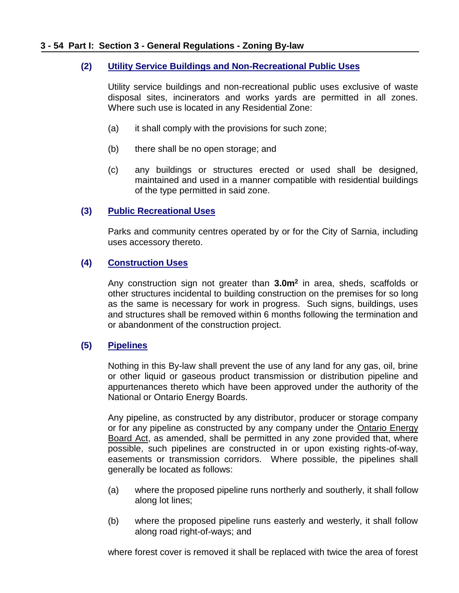#### **(2) Utility Service Buildings and Non-Recreational Public Uses**

Utility service buildings and non-recreational public uses exclusive of waste disposal sites, incinerators and works yards are permitted in all zones. Where such use is located in any Residential Zone:

- (a) it shall comply with the provisions for such zone;
- (b) there shall be no open storage; and
- (c) any buildings or structures erected or used shall be designed, maintained and used in a manner compatible with residential buildings of the type permitted in said zone.

#### **(3) Public Recreational Uses**

Parks and community centres operated by or for the City of Sarnia, including uses accessory thereto.

### **(4) Construction Uses**

Any construction sign not greater than **3.0m<sup>2</sup>** in area, sheds, scaffolds or other structures incidental to building construction on the premises for so long as the same is necessary for work in progress. Such signs, buildings, uses and structures shall be removed within 6 months following the termination and or abandonment of the construction project.

### **(5) Pipelines**

Nothing in this By-law shall prevent the use of any land for any gas, oil, brine or other liquid or gaseous product transmission or distribution pipeline and appurtenances thereto which have been approved under the authority of the National or Ontario Energy Boards.

Any pipeline, as constructed by any distributor, producer or storage company or for any pipeline as constructed by any company under the Ontario Energy Board Act, as amended, shall be permitted in any zone provided that, where possible, such pipelines are constructed in or upon existing rights-of-way, easements or transmission corridors. Where possible, the pipelines shall generally be located as follows:

- (a) where the proposed pipeline runs northerly and southerly, it shall follow along lot lines;
- (b) where the proposed pipeline runs easterly and westerly, it shall follow along road right-of-ways; and

where forest cover is removed it shall be replaced with twice the area of forest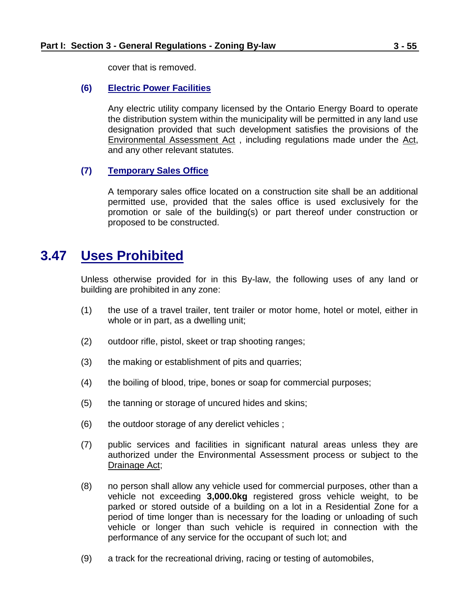cover that is removed.

### **(6) Electric Power Facilities**

Any electric utility company licensed by the Ontario Energy Board to operate the distribution system within the municipality will be permitted in any land use designation provided that such development satisfies the provisions of the Environmental Assessment Act , including regulations made under the Act, and any other relevant statutes.

### **(7) Temporary Sales Office**

A temporary sales office located on a construction site shall be an additional permitted use, provided that the sales office is used exclusively for the promotion or sale of the building(s) or part thereof under construction or proposed to be constructed.

### <span id="page-54-0"></span>**3.47 Uses Prohibited**

Unless otherwise provided for in this By-law, the following uses of any land or building are prohibited in any zone:

- (1) the use of a travel trailer, tent trailer or motor home, hotel or motel, either in whole or in part, as a dwelling unit;
- (2) outdoor rifle, pistol, skeet or trap shooting ranges;
- (3) the making or establishment of pits and quarries;
- (4) the boiling of blood, tripe, bones or soap for commercial purposes;
- (5) the tanning or storage of uncured hides and skins;
- (6) the outdoor storage of any derelict vehicles ;
- (7) public services and facilities in significant natural areas unless they are authorized under the Environmental Assessment process or subject to the Drainage Act;
- (8) no person shall allow any vehicle used for commercial purposes, other than a vehicle not exceeding **3,000.0kg** registered gross vehicle weight, to be parked or stored outside of a building on a lot in a Residential Zone for a period of time longer than is necessary for the loading or unloading of such vehicle or longer than such vehicle is required in connection with the performance of any service for the occupant of such lot; and
- (9) a track for the recreational driving, racing or testing of automobiles,